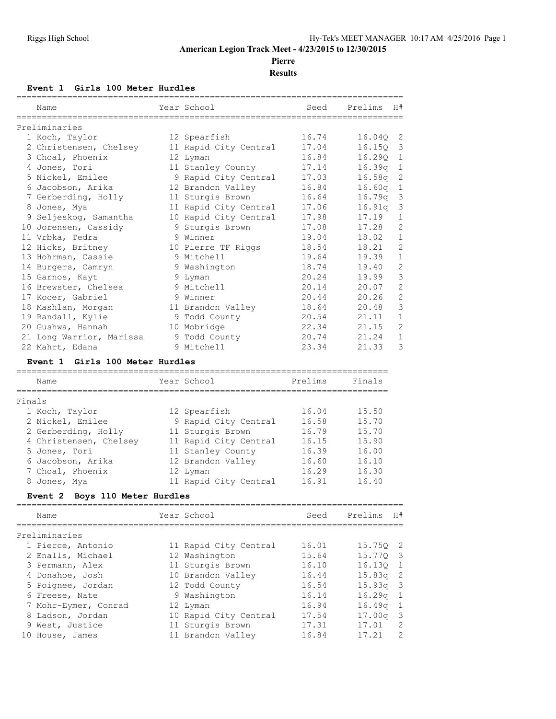#### **American Legion Track Meet - 4/23/2015 to 12/30/2015**

**Pierre**

**Results**

#### **Event 1 Girls 100 Meter Hurdles**

|        | Name<br>---------------------           | Year School<br>========================= | Seed                                       | H#<br>Prelims<br>========================== |
|--------|-----------------------------------------|------------------------------------------|--------------------------------------------|---------------------------------------------|
|        | Preliminaries                           |                                          |                                            |                                             |
|        | 1 Koch, Taylor                          | 12 Spearfish                             | 16.74                                      | 16.040<br>2                                 |
|        | 2 Christensen, Chelsey                  | 11 Rapid City Central                    | 17.04                                      | 3<br>16.15Q                                 |
|        | 3 Choal, Phoenix                        | 12 Lyman                                 | 16.84                                      | 16.290<br>$\mathbf{1}$                      |
|        | 4 Jones, Tori                           | 11 Stanley County                        | 17.14                                      | 16.39q<br>1                                 |
|        | 5 Nickel, Emilee                        | 9 Rapid City Central                     | 17.03                                      | 2<br>16.58q                                 |
|        | 6 Jacobson, Arika                       | 12 Brandon Valley                        | 16.84                                      | 1<br>16.60q                                 |
|        | 7 Gerberding, Holly                     | 11 Sturgis Brown                         | 16.64                                      | 3<br>16.79q                                 |
|        | 8 Jones, Mya                            | 11 Rapid City Central                    | 17.06                                      | 3<br>16.91q                                 |
|        | 9 Seljeskog, Samantha                   | 10 Rapid City Central                    | 17.98                                      | 17.19<br>$\mathbf{1}$                       |
|        | 10 Jorensen, Cassidy                    | 9 Sturgis Brown                          | 17.08                                      | 2<br>17.28                                  |
|        | 11 Vrbka, Tedra                         | 9 Winner                                 | 19.04                                      | 18.02<br>$\mathbf{1}$                       |
|        | 12 Hicks, Britney                       | 10 Pierre TF Riggs                       | 18.54                                      | $\overline{2}$<br>18.21                     |
|        | 13 Hohrman, Cassie                      | 9 Mitchell                               | 19.64                                      | $\mathbf{1}$<br>19.39                       |
|        | 14 Burgers, Camryn                      | 9 Washington                             | 18.74                                      | $\overline{c}$<br>19.40                     |
|        | 15 Garnos, Kayt                         | 9 Lyman                                  | 20.24                                      | 3<br>19.99                                  |
|        | 16 Brewster, Chelsea                    | 9 Mitchell                               | 20.14                                      | 2<br>20.07                                  |
|        | 17 Kocer, Gabriel                       | 9 Winner                                 | 20.44                                      | $\overline{2}$<br>20.26                     |
|        | 18 Mashlan, Morgan                      | 11 Brandon Valley                        | 18.64                                      | 3<br>20.48                                  |
|        | 19 Randall, Kylie                       | 9 Todd County                            | 20.54                                      | $\mathbf{1}$<br>21.11                       |
|        | 20 Gushwa, Hannah                       | 10 Mobridge                              | 22.34                                      | $\overline{2}$<br>21.15                     |
|        | 21 Long Warrior, Marissa                | 9 Todd County                            | 20.74                                      | 21.24<br>$\mathbf{1}$                       |
|        | 22 Mahrt, Edana                         | 9 Mitchell                               | 23.34                                      | 3<br>21.33                                  |
|        | Event 1 Girls 100 Meter Hurdles         |                                          |                                            |                                             |
|        | Name                                    | Year School                              | ===============================<br>Prelims | Finals                                      |
| Finals |                                         |                                          |                                            |                                             |
|        | 1 Koch, Taylor                          | 12 Spearfish                             | 16.04                                      | 15.50                                       |
|        | 2 Nickel, Emilee                        | 9 Rapid City Central                     | 16.58                                      | 15.70                                       |
|        | 2 Gerberding, Holly                     | 11 Sturgis Brown                         | 16.79                                      | 15.70                                       |
|        |                                         |                                          | 16.15                                      | 15.90                                       |
|        | 4 Christensen, Chelsey<br>5 Jones, Tori | 11 Rapid City Central                    | 16.39                                      | 16.00                                       |
|        |                                         | 11 Stanley County                        | 16.60                                      | 16.10                                       |
|        | 6 Jacobson, Arika                       | 12 Brandon Valley                        |                                            |                                             |
|        | 7 Choal, Phoenix                        | 12 Lyman                                 | 16.29                                      | 16.30                                       |
|        | 8 Jones, Mya                            | 11 Rapid City Central                    | 16.91                                      | 16.40                                       |
|        | Event 2 Boys 110 Meter Hurdles          |                                          | ===============================            |                                             |
|        | Name                                    | Year School                              | Seed                                       | Prelims<br>H#                               |
|        | Preliminaries                           |                                          |                                            |                                             |
|        | 1 Pierce, Antonio                       | 11 Rapid City Central                    | 16.01                                      | 15.75Q<br>2                                 |

| -----------------    |                       |       |            |  |
|----------------------|-----------------------|-------|------------|--|
| 1 Pierce, Antonio    | 11 Rapid City Central | 16.01 | 15.750 2   |  |
| 2 Enalls, Michael    | 12 Washington         | 15.64 | 15.770 3   |  |
| 3 Permann, Alex      | 11 Sturgis Brown      | 16.10 | 16.130 1   |  |
| 4 Donahoe, Josh      | 10 Brandon Valley     | 16.44 | $15.83q$ 2 |  |
| 5 Poignee, Jordan    | 12 Todd County        | 16.54 | $15.93q$ 3 |  |
| 6 Freese, Nate       | 9 Washington          | 16.14 | $16.29q$ 1 |  |
| 7 Mohr-Eymer, Conrad | 12 Lyman              | 16.94 | $16.49q$ 1 |  |
| 8 Ladson, Jordan     | 10 Rapid City Central | 17.54 | $17.00q$ 3 |  |
| 9 West, Justice      | 11 Sturgis Brown      | 17.31 | $17.01$ 2  |  |

10 House, James 11 Brandon Valley 16.84 17.21 2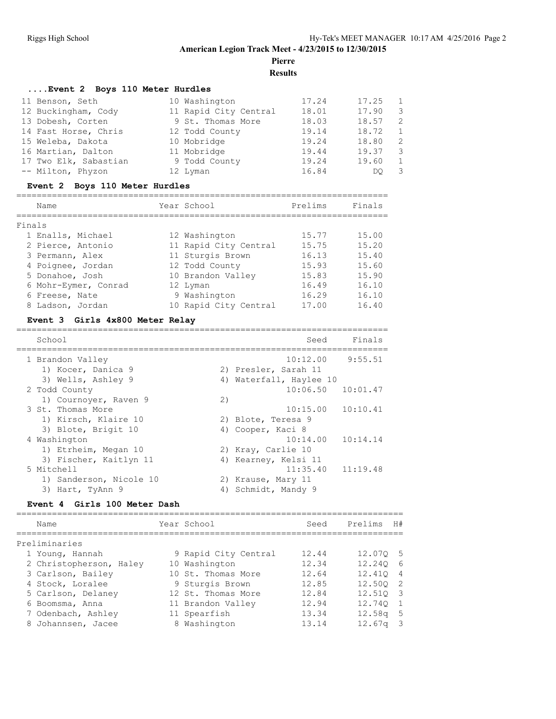**Pierre**

**Results**

| Event 2 Boys 110 Meter Hurdles |                       |       |       |                |  |  |  |  |
|--------------------------------|-----------------------|-------|-------|----------------|--|--|--|--|
| 11 Benson, Seth                | 10 Washington         | 17.24 | 17.25 | $\overline{1}$ |  |  |  |  |
| 12 Buckingham, Cody            | 11 Rapid City Central | 18.01 | 17.90 | -3             |  |  |  |  |
| 13 Dobesh, Corten              | 9 St. Thomas More     | 18.03 | 18.57 | 2              |  |  |  |  |
| 14 Fast Horse, Chris           | 12 Todd County        | 19.14 | 18.72 | 1              |  |  |  |  |
| 15 Weleba, Dakota              | 10 Mobridge           | 19.24 | 18.80 | -2             |  |  |  |  |
| 16 Martian, Dalton             | 11 Mobridge           | 19.44 | 19.37 | -3             |  |  |  |  |
| 17 Two Elk, Sabastian          | 9 Todd County         | 19.24 | 19.60 | 1              |  |  |  |  |
| -- Milton, Phyzon              | 12 Lyman              | 16.84 | DO    | -3             |  |  |  |  |

#### **Event 2 Boys 110 Meter Hurdles**

|        | Name                 | Year School           | Prelims | Finals |
|--------|----------------------|-----------------------|---------|--------|
| Finals |                      |                       |         |        |
|        | 1 Enalls, Michael    | 12 Washington         | 15.77   | 15.00  |
|        | 2 Pierce, Antonio    | 11 Rapid City Central | 15.75   | 15.20  |
|        | 3 Permann, Alex      | 11 Sturgis Brown      | 16.13   | 15.40  |
|        | 4 Poignee, Jordan    | 12 Todd County        | 15.93   | 15.60  |
|        | 5 Donahoe, Josh      | 10 Brandon Valley     | 15.83   | 15.90  |
|        | 6 Mohr-Eymer, Conrad | 12 Lyman              | 16.49   | 16.10  |
|        | 6 Freese, Nate       | 9 Washington          | 16.29   | 16.10  |
|        | 8 Ladson, Jordan     | 10 Rapid City Central | 17.00   | 16.40  |

#### **Event 3 Girls 4x800 Meter Relay**

| School                  |    | Finals<br>Seed          |
|-------------------------|----|-------------------------|
| 1 Brandon Valley        |    | 10:12.00<br>9:55.51     |
| 1) Kocer, Danica 9      |    | 2) Presler, Sarah 11    |
| 3) Wells, Ashley 9      |    | 4) Waterfall, Haylee 10 |
| 2 Todd County           |    | $10:06.50$ $10:01.47$   |
| 1) Cournoyer, Raven 9   | 2) |                         |
| 3 St. Thomas More       |    | $10:15.00$ $10:10.41$   |
| 1) Kirsch, Klaire 10    |    | 2) Blote, Teresa 9      |
| 3) Blote, Brigit 10     |    | 4) Cooper, Kaci 8       |
| 4 Washington            |    | $10:14.00$ $10:14.14$   |
| 1) Etrheim, Megan 10    |    | 2) Kray, Carlie 10      |
| 3) Fischer, Kaitlyn 11  |    | 4) Kearney, Kelsi 11    |
| 5 Mitchell              |    | $11:35.40$ $11:19.48$   |
| 1) Sanderson, Nicole 10 |    | 2) Krause, Mary 11      |
| 3) Hart, TyAnn 9        |    | 4) Schmidt, Mandy 9     |

#### **Event 4 Girls 100 Meter Dash**

| Name                    | Year School          | Seed  | Prelims            | H#                       |
|-------------------------|----------------------|-------|--------------------|--------------------------|
| Preliminaries           |                      |       |                    |                          |
| 1 Young, Hannah         | 9 Rapid City Central | 12.44 | 12.070 5           |                          |
| 2 Christopherson, Haley | 10 Washington        | 12.34 | 12.240 6           |                          |
| 3 Carlson, Bailey       | 10 St. Thomas More   | 12.64 | 12.410 4           |                          |
| 4 Stock, Loralee        | 9 Sturgis Brown      | 12.85 | 12.500 2           |                          |
| 5 Carlson, Delaney      | 12 St. Thomas More   | 12.84 | 12.510 3           |                          |
| 6 Boomsma, Anna         | 11 Brandon Valley    | 12.94 | 12.740 1           |                          |
| 7 Odenbach, Ashley      | 11 Spearfish         | 13.34 | $12.58q$ 5         |                          |
| 8 Johannsen, Jacee      | 8 Washington         | 13.14 | 12.67 <sub>q</sub> | $\overline{\phantom{a}}$ |
|                         |                      |       |                    |                          |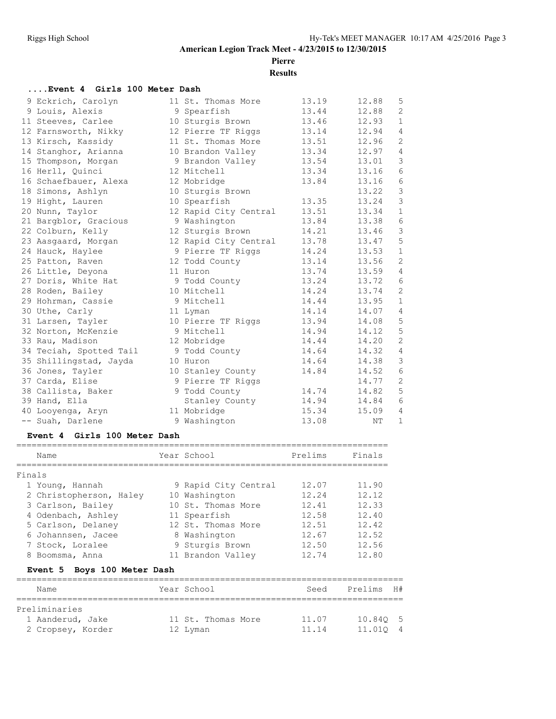**Pierre**

### **Results**

#### **....Event 4 Girls 100 Meter Dash**

|  | 9 Eckrich, Carolyn      | 11 St. Thomas More    | 13.19 | 12.88 | 5              |
|--|-------------------------|-----------------------|-------|-------|----------------|
|  | 9 Louis, Alexis         | 9 Spearfish           | 13.44 | 12.88 | 2              |
|  | 11 Steeves, Carlee      | 10 Sturgis Brown      | 13.46 | 12.93 | $\mathbf{1}$   |
|  | 12 Farnsworth, Nikky    | 12 Pierre TF Riggs    | 13.14 | 12.94 | 4              |
|  | 13 Kirsch, Kassidy      | 11 St. Thomas More    | 13.51 | 12.96 | 2              |
|  | 14 Stanghor, Arianna    | 10 Brandon Valley     | 13.34 | 12.97 | 4              |
|  | 15 Thompson, Morgan     | 9 Brandon Valley      | 13.54 | 13.01 | $\mathfrak{Z}$ |
|  | 16 Herll, Quinci        | 12 Mitchell           | 13.34 | 13.16 | 6              |
|  | 16 Schaefbauer, Alexa   | 12 Mobridge           | 13.84 | 13.16 | 6              |
|  | 18 Simons, Ashlyn       | 10 Sturgis Brown      |       | 13.22 | $\mathcal{S}$  |
|  | 19 Hight, Lauren        | 10 Spearfish          | 13.35 | 13.24 | $\mathsf 3$    |
|  | 20 Nunn, Taylor         | 12 Rapid City Central | 13.51 | 13.34 | $\mathbf{1}$   |
|  | 21 Bargblor, Gracious   | 9 Washington          | 13.84 | 13.38 | 6              |
|  | 22 Colburn, Kelly       | 12 Sturgis Brown      | 14.21 | 13.46 | $\mathfrak{Z}$ |
|  | 23 Aasgaard, Morgan     | 12 Rapid City Central | 13.78 | 13.47 | 5              |
|  | 24 Hauck, Haylee        | 9 Pierre TF Riggs     | 14.24 | 13.53 | $\mathbf{1}$   |
|  | 25 Patton, Raven        | 12 Todd County        | 13.14 | 13.56 | 2              |
|  | 26 Little, Deyona       | 11 Huron              | 13.74 | 13.59 | $\overline{4}$ |
|  | 27 Doris, White Hat     | 9 Todd County         | 13.24 | 13.72 | $6\,$          |
|  | 28 Roden, Bailey        | 10 Mitchell           | 14.24 | 13.74 | 2              |
|  | 29 Hohrman, Cassie      | 9 Mitchell            | 14.44 | 13.95 | $\mathbf{1}$   |
|  | 30 Uthe, Carly          | 11 Lyman              | 14.14 | 14.07 | 4              |
|  | 31 Larsen, Tayler       | 10 Pierre TF Riggs    | 13.94 | 14.08 | $\mathsf S$    |
|  | 32 Norton, McKenzie     | 9 Mitchell            | 14.94 | 14.12 | 5              |
|  | 33 Rau, Madison         | 12 Mobridge           | 14.44 | 14.20 | $\mathbf{2}$   |
|  | 34 Teciah, Spotted Tail | 9 Todd County         | 14.64 | 14.32 | $\overline{4}$ |
|  | 35 Shillingstad, Jayda  | 10 Huron              | 14.64 | 14.38 | $\mathsf 3$    |
|  | 36 Jones, Tayler        | 10 Stanley County     | 14.84 | 14.52 | 6              |
|  | 37 Carda, Elise         | 9 Pierre TF Riggs     |       | 14.77 | $\sqrt{2}$     |
|  | 38 Callista, Baker      | 9 Todd County         | 14.74 | 14.82 | 5              |
|  | 39 Hand, Ella           | Stanley County        | 14.94 | 14.84 | 6              |
|  | 40 Looyenga, Aryn       | 11 Mobridge           | 15.34 | 15.09 | 4              |
|  | -- Suah, Darlene        | 9 Washington          | 13.08 | ΝT    | $\mathbf{1}$   |
|  |                         |                       |       |       |                |

#### **Event 4 Girls 100 Meter Dash**

| Name                           |  | Year School          | Prelims | Finals |  |  |  |
|--------------------------------|--|----------------------|---------|--------|--|--|--|
|                                |  |                      |         |        |  |  |  |
| Finals                         |  |                      |         |        |  |  |  |
| 1 Young, Hannah                |  | 9 Rapid City Central | 12.07   | 11.90  |  |  |  |
| 2 Christopherson, Haley        |  | 10 Washington        | 12.24   | 12.12  |  |  |  |
| 3 Carlson, Bailey              |  | 10 St. Thomas More   | 12.41   | 12.33  |  |  |  |
| 4 Odenbach, Ashley             |  | 11 Spearfish         | 12.58   | 12.40  |  |  |  |
| 5 Carlson, Delaney             |  | 12 St. Thomas More   | 12.51   | 12.42  |  |  |  |
| 6 Johannsen, Jacee             |  | 8 Washington         | 12.67   | 12.52  |  |  |  |
| 7 Stock, Loralee               |  | 9 Sturgis Brown      | 12.50   | 12.56  |  |  |  |
| 8 Boomsma, Anna                |  | 11 Brandon Valley    | 12.74   | 12.80  |  |  |  |
| Boys 100 Meter Dash<br>Event 5 |  |                      |         |        |  |  |  |

| Name              | Year School        | Seed  | Prelims H# |  |
|-------------------|--------------------|-------|------------|--|
| Preliminaries     |                    |       |            |  |
| 1 Aanderud, Jake  | 11 St. Thomas More | 11.07 | 10.840 5   |  |
| 2 Cropsey, Korder | 12 Lyman           | 11.14 | 11.010 4   |  |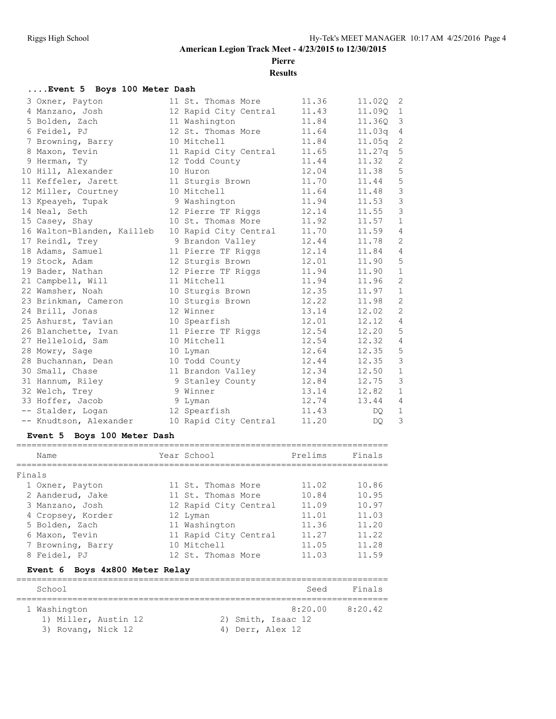**Pierre**

**Results**

#### **....Event 5 Boys 100 Meter Dash**

| 3 Oxner, Payton            | 11 St. Thomas More    | 11.36 | 11.020 | 2              |
|----------------------------|-----------------------|-------|--------|----------------|
| 4 Manzano, Josh            | 12 Rapid City Central | 11.43 | 11.09Q | $\mathbf{1}$   |
| 5 Bolden, Zach             | 11 Washington         | 11.84 | 11.36Q | 3              |
| 6 Feidel, PJ               | 12 St. Thomas More    | 11.64 | 11.03q | 4              |
| 7 Browning, Barry          | 10 Mitchell           | 11.84 | 11.05q | 2              |
| 8 Maxon, Tevin             | 11 Rapid City Central | 11.65 | 11.27q | $\mathsf S$    |
| 9 Herman, Ty               | 12 Todd County        | 11.44 | 11.32  | 2              |
| 10 Hill, Alexander         | 10 Huron              | 12.04 | 11.38  | 5              |
| 11 Keffeler, Jarett        | 11 Sturgis Brown      | 11.70 | 11.44  | $\mathsf S$    |
| 12 Miller, Courtney        | 10 Mitchell           | 11.64 | 11.48  | $\mathfrak{Z}$ |
| 13 Kpeayeh, Tupak          | 9 Washington          | 11.94 | 11.53  | $\mathcal{S}$  |
| 14 Neal, Seth              | 12 Pierre TF Riggs    | 12.14 | 11.55  | $\mathcal{S}$  |
| 15 Casey, Shay             | 10 St. Thomas More    | 11.92 | 11.57  | $\mathbf{1}$   |
| 16 Walton-Blanden, Kailleb | 10 Rapid City Central | 11.70 | 11.59  | 4              |
| 17 Reindl, Trey            | 9 Brandon Valley      | 12.44 | 11.78  | 2              |
| 18 Adams, Samuel           | 11 Pierre TF Riggs    | 12.14 | 11.84  | 4              |
| 19 Stock, Adam             | 12 Sturgis Brown      | 12.01 | 11.90  | $\mathsf S$    |
| 19 Bader, Nathan           | 12 Pierre TF Riggs    | 11.94 | 11.90  | $\mathbf{1}$   |
| 21 Campbell, Will          | 11 Mitchell           | 11.94 | 11.96  | $\mathbf{2}$   |
| 22 Wamsher, Noah           | 10 Sturgis Brown      | 12.35 | 11.97  | $\mathbf{1}$   |
| 23 Brinkman, Cameron       | 10 Sturgis Brown      | 12.22 | 11.98  | 2              |
| 24 Brill, Jonas            | 12 Winner             | 13.14 | 12.02  | $\mathbf{2}$   |
| 25 Ashurst, Tavian         | 10 Spearfish          | 12.01 | 12.12  | 4              |
| 26 Blanchette, Ivan        | 11 Pierre TF Riggs    | 12.54 | 12.20  | 5              |
| 27 Helleloid, Sam          | 10 Mitchell           | 12.54 | 12.32  | 4              |
| 28 Mowry, Sage             | 10 Lyman              | 12.64 | 12.35  | 5              |
| 28 Buchannan, Dean         | 10 Todd County        | 12.44 | 12.35  | 3              |
| 30 Small, Chase            | 11 Brandon Valley     | 12.34 | 12.50  | $\mathbf{1}$   |
| 31 Hannum, Riley           | 9 Stanley County      | 12.84 | 12.75  | 3              |
| 32 Welch, Trey             | 9 Winner              | 13.14 | 12.82  | $\mathbf{1}$   |
| 33 Hoffer, Jacob           | 9 Lyman               | 12.74 | 13.44  | 4              |
| -- Stalder, Logan          | 12 Spearfish          | 11.43 | DQ.    | $\mathbf{1}$   |
| -- Knudtson, Alexander     | 10 Rapid City Central | 11.20 | DO.    | 3              |

#### **Event 5 Boys 100 Meter Dash**

| Name                              | Year School           | Prelims | Finals |
|-----------------------------------|-----------------------|---------|--------|
| Finals                            |                       |         |        |
| 1 Oxner, Payton                   | 11 St. Thomas More    | 11.02   | 10.86  |
| 2 Aanderud, Jake                  | 11 St. Thomas More    | 10.84   | 10.95  |
| 3 Manzano, Josh                   | 12 Rapid City Central | 11.09   | 10.97  |
| 4 Cropsey, Korder                 | 12 Lyman              | 11.01   | 11.03  |
| 5 Bolden, Zach                    | 11 Washington         | 11.36   | 11.20  |
| 6 Maxon, Tevin                    | 11 Rapid City Central | 11.27   | 11.22  |
| 7 Browning, Barry                 | 10 Mitchell           | 11.05   | 11.28  |
| 8 Feidel, PJ                      | 12 St. Thomas More    | 11.03   | 11.59  |
| Boys 4x800 Meter Relay<br>Event 6 |                       |         |        |

| School                                                     | Seed                                              | Finals  |
|------------------------------------------------------------|---------------------------------------------------|---------|
| 1 Washington<br>1) Miller, Austin 12<br>3) Rovang, Nick 12 | 8:20.00<br>2) Smith, Isaac 12<br>4) Derr, Alex 12 | 8:20.42 |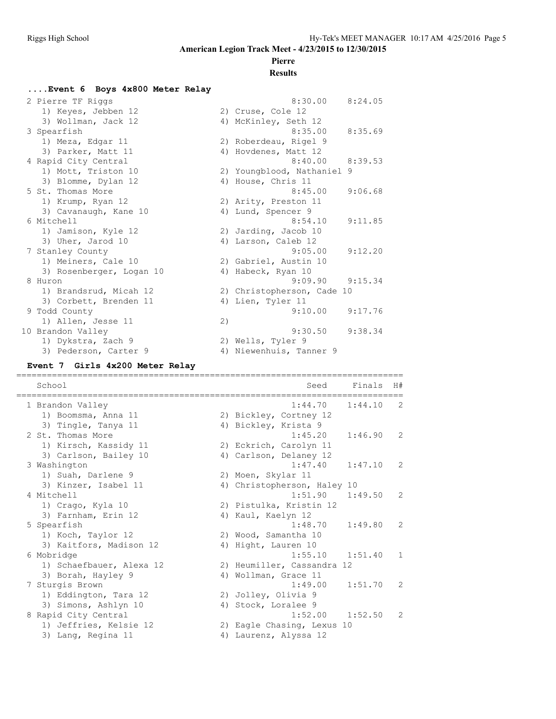# **Pierre**

#### **Results**

#### **....Event 6 Boys 4x800 Meter Relay**

| 2 Pierre TF Riggs        |    | 8:30.00                    | 8:24.05 |
|--------------------------|----|----------------------------|---------|
| 1) Keyes, Jebben 12      |    | 2) Cruse, Cole 12          |         |
| 3) Wollman, Jack 12      |    | 4) McKinley, Seth 12       |         |
| 3 Spearfish              |    | 8:35.00                    | 8:35.69 |
| 1) Meza, Edgar 11        |    | 2) Roberdeau, Rigel 9      |         |
| 3) Parker, Matt 11       |    | 4) Hovdenes, Matt 12       |         |
| 4 Rapid City Central     |    | $8:40.00$ $8:39.53$        |         |
| 1) Mott, Triston 10      |    | 2) Youngblood, Nathaniel 9 |         |
| 3) Blomme, Dylan 12      |    | 4) House, Chris 11         |         |
| 5 St. Thomas More        |    | 8:45.00                    | 9:06.68 |
| 1) Krump, Ryan 12        |    | 2) Arity, Preston 11       |         |
| 3) Cavanaugh, Kane 10    |    | 4) Lund, Spencer 9         |         |
| 6 Mitchell               |    | 8:54.10                    | 9:11.85 |
| 1) Jamison, Kyle 12      |    | 2) Jarding, Jacob 10       |         |
| 3) Uher, Jarod 10        |    | 4) Larson, Caleb 12        |         |
| 7 Stanley County         |    | 9:05.00                    | 9:12.20 |
| 1) Meiners, Cale 10      |    | 2) Gabriel, Austin 10      |         |
| 3) Rosenberger, Logan 10 | 4) | Habeck, Ryan 10            |         |
| 8 Huron                  |    | 9:09.90                    | 9:15.34 |
| 1) Brandsrud, Micah 12   |    | 2) Christopherson, Cade 10 |         |
| 3) Corbett, Brenden 11   |    | 4) Lien, Tyler 11          |         |
| 9 Todd County            |    | 9:10.00                    | 9:17.76 |
| 1) Allen, Jesse 11       | 2) |                            |         |
| 10 Brandon Valley        |    | 9:30.50                    | 9:38.34 |
| 1) Dykstra, Zach 9       |    | 2) Wells, Tyler 9          |         |
| 3) Pederson, Carter 9    |    | 4) Niewenhuis, Tanner 9    |         |

#### **Event 7 Girls 4x200 Meter Relay**

School Seed Finals H# ============================================================================ 1 Brandon Valley 1:44.70 1:44.10 2 1) Boomsma, Anna 11 2) Bickley, Cortney 12 3) Tingle, Tanya 11 1988 (4) Bickley, Krista 9 2 St. Thomas More 1:45.20 1:46.90 2 1) Kirsch, Kassidy 11 2) Eckrich, Carolyn 11 3) Carlson, Bailey 10 4) Carlson, Delaney 12 3 Washington 1:47.40 1:47.10 2 1) Suah, Darlene 9 2) Moen, Skylar 11 3) Kinzer, Isabel 11 4) Christopherson, Haley 10 4 Mitchell 1:51.90 1:49.50 2 1) Crago, Kyla 10 2) Pistulka, Kristin 12 3) Farnham, Erin 12 (4) Kaul, Kaelyn 12 5 Spearfish 1:48.70 1:49.80 2 1) Koch, Taylor 12 2) Wood, Samantha 10 3) Kaitfors, Madison 12 (4) Hight, Lauren 10 6 Mobridge 1:55.10 1:51.40 1 1) Schaefbauer, Alexa 12 2) Heumiller, Cassandra 12 3) Borah, Hayley 9 4) Wollman, Grace 11 7 Sturgis Brown 1:49.00 1:51.70 2 1) Eddington, Tara 12 2) Jolley, Olivia 9 3) Simons, Ashlyn 10 (4) Stock, Loralee 9 8 Rapid City Central 2012 1:52.00 1:52.50 2 1) Jeffries, Kelsie 12 2) Eagle Chasing, Lexus 10 3) Lang, Regina 11 4) Laurenz, Alyssa 12

============================================================================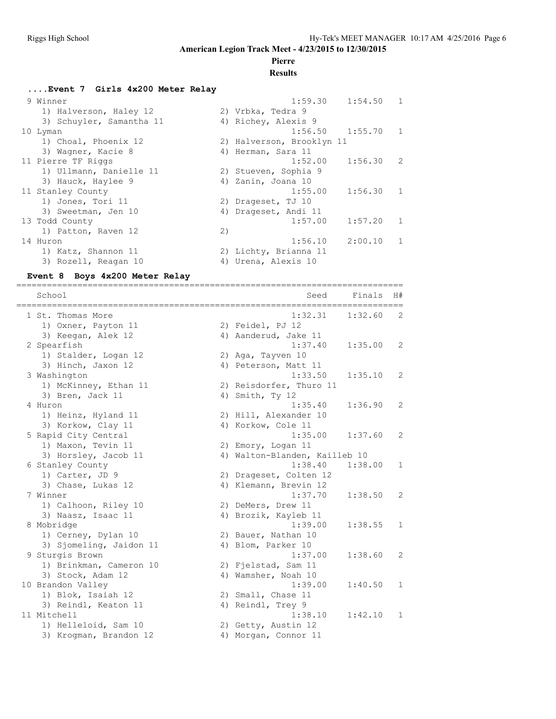### **Pierre**

#### **Results**

#### **....Event 7 Girls 4x200 Meter Relay** 9 Winner 1:59.30 1:54.50 1 1) Halverson, Haley 12 2) Vrbka, Tedra 9 3) Schuyler, Samantha 11  $\hskip10mm$  4) Richey, Alexis 9 10 Lyman 1:56.50 1:55.70 1 1) Choal, Phoenix 12 2) Halverson, Brooklyn 11 3) Wagner, Kacie 8 4) Herman, Sara 11 11 Pierre TF Riggs 1:52.00 1:56.30 2 1) Ullmann, Danielle 11 2) Stueven, Sophia 9 3) Hauck, Haylee 9 4) Zanin, Joana 10 11 Stanley County 1:55.00 1:56.30 1 1) Jones, Tori 11 2) Drageset, TJ 10 3) Sweetman, Jen 10 (4) Drageset, Andi 11 13 Todd County 1:57.00 1:57.20 1 1) Patton, Raven 12 (2) 1) Patton, Raven 12 (2)<br>14 Huron 1:56.10 2:00.10 1 1) Katz, Shannon 11 2) Lichty, Brianna 11 3) Rozell, Reagan 10 (4) Urena, Alexis 10

#### **Event 8 Boys 4x200 Meter Relay**

============================================================================ School School Seed Finals H# ============================================================================ 1 St. Thomas More 2012 1:32.31 1:32.60 2 1) Oxner, Payton 11 2) Feidel, PJ 12 3) Keegan, Alek 12 (4) Aanderud, Jake 11 2 Spearfish 1:37.40 1:35.00 2 1) Stalder, Logan 12 2) Aga, Tayven 10 3) Hinch, Jaxon 12 (4) Peterson, Matt 11 3 Washington 1:33.50 1:35.10 2 1) McKinney, Ethan 11 2) Reisdorfer, Thuro 11 3) Bren, Jack 11 4) Smith, Ty 12 4 Huron 1:35.40 1:36.90 2 1) Heinz, Hyland 11 2) Hill, Alexander 10 3) Korkow, Clay 11 4) Korkow, Cole 11 5 Rapid City Central 1:35.00 1:37.60 2 1) Maxon, Tevin 11 2) Emory, Logan 11 3) Horsley, Jacob 11 4) Walton-Blanden, Kailleb 10 6 Stanley County 1:38.40 1:38.00 1 1) Carter, JD 9 2) Drageset, Colten 12 3) Chase, Lukas 12 4) Klemann, Brevin 12 7 Winner 1:37.70 1:38.50 2 1) Calhoon, Riley 10 2) DeMers, Drew 11 3) Naasz, Isaac 11 1888 – 40 Brozik, Kayleb 11 8 Mobridge 1:39.00 1:38.55 1 1) Cerney, Dylan 10 2) Bauer, Nathan 10 3) Sjomeling, Jaidon 11 (4) Blom, Parker 10 9 Sturgis Brown 1:37.00 1:38.60 2 1) Brinkman, Cameron 10 2) Fjelstad, Sam 11 3) Stock, Adam 12 4) Wamsher, Noah 10 10 Brandon Valley 1:39.00 1:40.50 1 1) Blok, Isaiah 12 2) Small, Chase 11 3) Reindl, Keaton 11 4) Reindl, Trey 9 11 Mitchell 1:38.10 1:42.10 1 1) Helleloid, Sam 10 2) Getty, Austin 12 3) Krogman, Brandon 12 (4) Morgan, Connor 11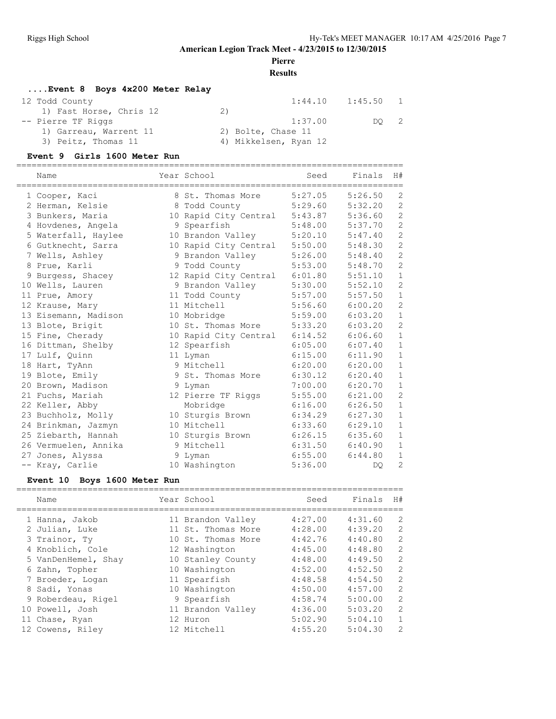**Pierre**

**Results**

#### **....Event 8 Boys 4x200 Meter Relay**

| 12 Todd County          |                       | $1:44.10$ $1:45.50$ | $\blacksquare$             |
|-------------------------|-----------------------|---------------------|----------------------------|
| 1) Fast Horse, Chris 12 | 2)                    |                     |                            |
| -- Pierre TF Riggs      | 1:37.00               | DO                  | $\overline{\phantom{0}}^2$ |
| 1) Garreau, Warrent 11  | 2) Bolte, Chase 11    |                     |                            |
| 3) Peitz, Thomas 11     | 4) Mikkelsen, Ryan 12 |                     |                            |

#### **Event 9 Girls 1600 Meter Run**

| Name                 | Year School           | Seed    | Finals  | H#             |
|----------------------|-----------------------|---------|---------|----------------|
| 1 Cooper, Kaci       | 8 St. Thomas More     | 5:27.05 | 5:26.50 | $\overline{c}$ |
| 2 Herman, Kelsie     | 8 Todd County         | 5:29.60 | 5:32.20 | $\overline{2}$ |
| 3 Bunkers, Maria     | 10 Rapid City Central | 5:43.87 | 5:36.60 | $\overline{c}$ |
| 4 Hovdenes, Angela   | 9 Spearfish           | 5:48.00 | 5:37.70 | $\overline{c}$ |
| 5 Waterfall, Haylee  | 10 Brandon Valley     | 5:20.10 | 5:47.40 | $\overline{c}$ |
| 6 Gutknecht, Sarra   | 10 Rapid City Central | 5:50.00 | 5:48.30 | $\overline{c}$ |
| 7 Wells, Ashley      | 9 Brandon Valley      | 5:26.00 | 5:48.40 | $\overline{c}$ |
| 8 Prue, Karli        | 9 Todd County         | 5:53.00 | 5:48.70 | $\overline{c}$ |
| 9 Burgess, Shacey    | 12 Rapid City Central | 6:01.80 | 5:51.10 | $1\,$          |
| 10 Wells, Lauren     | 9 Brandon Valley      | 5:30.00 | 5:52.10 | $\overline{c}$ |
| 11 Prue, Amory       | 11 Todd County        | 5:57.00 | 5:57.50 | $1\,$          |
| 12 Krause, Mary      | 11 Mitchell           | 5:56.60 | 6:00.20 | $\overline{c}$ |
| 13 Eisemann, Madison | 10 Mobridge           | 5:59.00 | 6:03.20 | $\mathbf 1$    |
| 13 Blote, Brigit     | 10 St. Thomas More    | 5:33.20 | 6:03.20 | $\overline{c}$ |
| 15 Fine, Cherady     | 10 Rapid City Central | 6:14.52 | 6:06.60 | $1\,$          |
| 16 Dittman, Shelby   | 12 Spearfish          | 6:05.00 | 6:07.40 | $1\,$          |
| 17 Lulf, Quinn       | 11 Lyman              | 6:15.00 | 6:11.90 | $\mathbf{1}$   |
| 18 Hart, TyAnn       | 9 Mitchell            | 6:20.00 | 6:20.00 | $\mathbf 1$    |
| 19 Blote, Emily      | 9 St. Thomas More     | 6:30.12 | 6:20.40 | $1\,$          |
| 20 Brown, Madison    | 9 Lyman               | 7:00.00 | 6:20.70 | $\mathbf 1$    |
| 21 Fuchs, Mariah     | 12 Pierre TF Riggs    | 5:55.00 | 6:21.00 | $\overline{c}$ |
| 22 Keller, Abby      | Mobridge              | 6:16.00 | 6:26.50 | $\mathbf 1$    |
| 23 Buchholz, Molly   | 10 Sturgis Brown      | 6:34.29 | 6:27.30 | $1\,$          |
| 24 Brinkman, Jazmyn  | 10 Mitchell           | 6:33.60 | 6:29.10 | $\mathbf{1}$   |
| 25 Ziebarth, Hannah  | 10 Sturgis Brown      | 6:26.15 | 6:35.60 | $\mathbf 1$    |
| 26 Vermuelen, Annika | 9 Mitchell            | 6:31.50 | 6:40.90 | $\mathbf{1}$   |
| 27 Jones, Alyssa     | 9 Lyman               | 6:55.00 | 6:44.80 | $1\,$          |
| -- Kray, Carlie      | 10 Washington         | 5:36.00 | DO.     | $\overline{c}$ |

#### **Event 10 Boys 1600 Meter Run**

| Name                | Year School        | Seed    | Finals  | H#             |
|---------------------|--------------------|---------|---------|----------------|
| 1 Hanna, Jakob      | 11 Brandon Valley  | 4:27.00 | 4:31.60 | 2              |
| 2 Julian, Luke      | 11 St. Thomas More | 4:28.00 | 4:39.20 | 2              |
| 3 Trainor, Ty       | 10 St. Thomas More | 4:42.76 | 4:40.80 | $\overline{2}$ |
| 4 Knoblich, Cole    | 12 Washington      | 4:45.00 | 4:48.80 | 2              |
| 5 VanDenHemel, Shay | 10 Stanley County  | 4:48.00 | 4:49.50 | $\mathfrak{D}$ |
| 6 Zahn, Topher      | 10 Washington      | 4:52.00 | 4:52.50 | $\mathfrak{D}$ |
| 7 Broeder, Logan    | 11 Spearfish       | 4:48.58 | 4:54.50 | 2              |
| 8 Sadi, Yonas       | 10 Washington      | 4:50.00 | 4:57.00 | $\mathfrak{D}$ |
| 9 Roberdeau, Rigel  | 9 Spearfish        | 4:58.74 | 5:00.00 | $\overline{2}$ |
| 10 Powell, Josh     | 11 Brandon Valley  | 4:36.00 | 5:03.20 | $\mathfrak{D}$ |
| 11 Chase, Ryan      | 12 Huron           | 5:02.90 | 5:04.10 | $\mathbf{1}$   |
| 12 Cowens, Riley    | 12 Mitchell        | 4:55.20 | 5:04.30 | $\mathfrak{D}$ |
|                     |                    |         |         |                |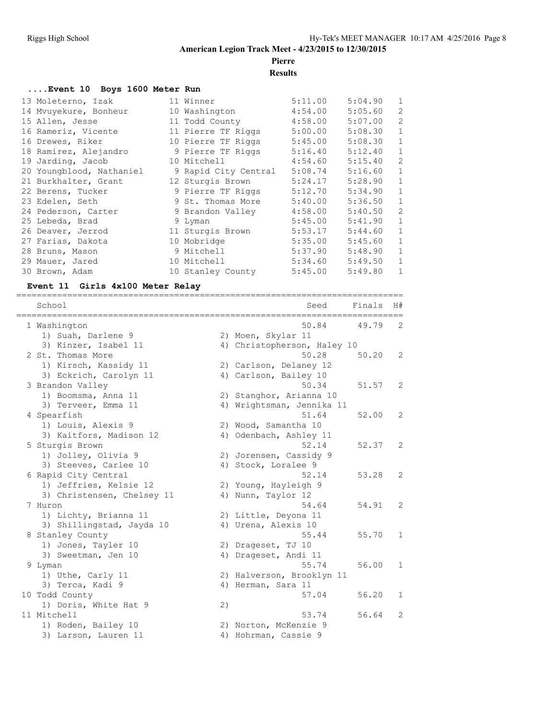# **Pierre**

**Results**

| Event 10 Boys 1600 Meter Run |                        |         |         |                |
|------------------------------|------------------------|---------|---------|----------------|
| 13 Moleterno, Izak           | 11 Winner              | 5:11.00 | 5:04.90 | $\mathbf{1}$   |
| 14 Mvuyekure, Bonheur        | 10 Washington          | 4:54.00 | 5:05.60 | $\overline{c}$ |
| 15 Allen, Jesse              | 11 Todd County 4:58.00 |         | 5:07.00 | $\overline{c}$ |
| 16 Rameriz, Vicente          | 11 Pierre TF Riggs     | 5:00.00 | 5:08.30 | $\mathbf{1}$   |
| 16 Drewes, Riker             | 10 Pierre TF Riggs     | 5:45.00 | 5:08.30 | $\mathbf{1}$   |
| 18 Ramirez, Alejandro        | 9 Pierre TF Riggs      | 5:16.40 | 5:12.40 | $\mathbf{1}$   |
| 19 Jarding, Jacob            | 10 Mitchell            | 4:54.60 | 5:15.40 | $\overline{2}$ |
| 20 Youngblood, Nathaniel     | 9 Rapid City Central   | 5:08.74 | 5:16.60 | $\mathbf{1}$   |
| 21 Burkhalter, Grant         | 12 Sturgis Brown       | 5:24.17 | 5:28.90 | $\mathbf{1}$   |
| 22 Berens, Tucker            | 9 Pierre TF Riggs      | 5:12.70 | 5:34.90 | $\mathbf{1}$   |
| 23 Edelen, Seth              | 9 St. Thomas More      | 5:40.00 | 5:36.50 | $\mathbf{1}$   |
| 24 Pederson, Carter          | 9 Brandon Valley       | 4:58.00 | 5:40.50 | $\overline{2}$ |
| 25 Lebeda, Brad              | 9 Lyman                | 5:45.00 | 5:41.90 | $\mathbf{1}$   |
| 26 Deaver, Jerrod            | 11 Sturgis Brown       | 5:53.17 | 5:44.60 | $\mathbf{1}$   |
| 27 Farias, Dakota            | 10 Mobridge            | 5:35.00 | 5:45.60 | $1\,$          |
| 28 Bruns, Mason              | 9 Mitchell             | 5:37.90 | 5:48.90 | $\mathbf{1}$   |
| 29 Mauer, Jared              | 10 Mitchell            | 5:34.60 | 5:49.50 | $\mathbf{1}$   |
| 30 Brown, Adam               | 10 Stanley County      | 5:45.00 | 5:49.80 | $\mathbf{1}$   |

#### **Event 11 Girls 4x100 Meter Relay**

============================================================================ School Seed Finals H# ============================================================================ 1 Washington 50.84 49.79 2 1) Suah, Darlene 9 2) Moen, Skylar 11 3) Kinzer, Isabel 11 4) Christopherson, Haley 10 2 St. Thomas More 60.20 28 50.20 28 50.20 29 1) Kirsch, Kassidy 11 2) Carlson, Delaney 12 3) Eckrich, Carolyn 11 4) Carlson, Bailey 10 3 Brandon Valley 50.34 51.57 2 1) Boomsma, Anna 11 2) Stanghor, Arianna 10 3) 1994<br>3) Boomsma, Anna 11 2) Stanghor, Arianna 10<br>3) Terveer, Emma 11 4) Wrightsman, Jennika 11<br>3) Spearfish 4 Spearfish 51.64 52.00 2 1) Louis, Alexis 9 2) Wood, Samantha 10 3) Kaitfors, Madison 12 4) Odenbach, Ashley 11 5 Sturgis Brown 52.14 52.37 2 1) Jolley, Olivia 9 2) Jorensen, Cassidy 9 3) Steeves, Carlee 10 (4) Stock, Loralee 9 6 Rapid City Central 52.14 53.28 2 1) Jeffries, Kelsie 12 2) Young, Hayleigh 9 3) Christensen, Chelsey 11 (4) Nunn, Taylor 12 7 Huron 54.64 54.91 2 1) Lichty, Brianna 11 120 2) Little, Deyona 11 3) Shillingstad, Jayda 10 (4) Urena, Alexis 10 8 Stanley County 55.44 55.70 1 1) Jones, Tayler 10 2) Drageset, TJ 10 3) Sweetman, Jen 10 (4) Drageset, Andi 11 9 Lyman 55.74 56.00 1 1) Uthe, Carly 11 2) Halverson, Brooklyn 11 3) Terca, Kadi 9 19 19 19 4) Herman, Sara 11 10 Todd County 57.04 56.20 1 1) Doris, White Hat 9 11 Mitchell 53.74 56.64 2 1) Roden, Bailey 10 2) Norton, McKenzie 9 3) Larson, Lauren 11 (4) Hohrman, Cassie 9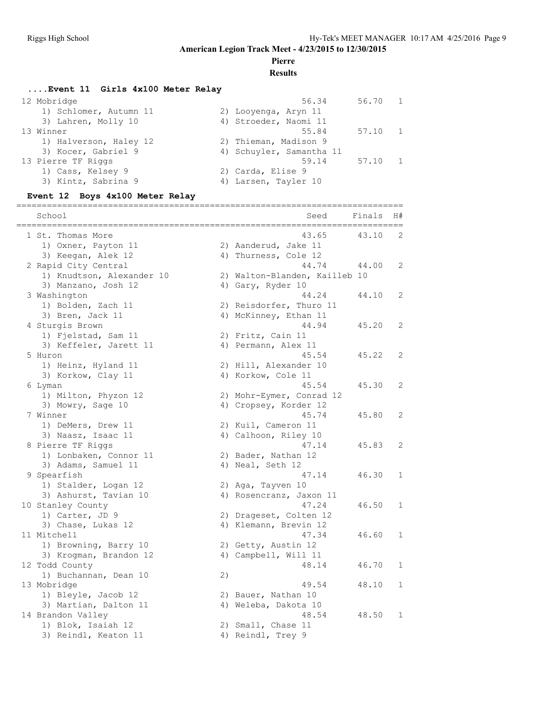# **Pierre**

### **Results**

#### **....Event 11 Girls 4x100 Meter Relay**

| 12 Mobridge            | 56.34                    | 56.70 1 |  |
|------------------------|--------------------------|---------|--|
| 1) Schlomer, Autumn 11 | 2) Looyenga, Aryn 11     |         |  |
| 3) Lahren, Molly 10    | 4) Stroeder, Naomi 11    |         |  |
| 13 Winner              | 55.84                    | 57.10   |  |
| 1) Halverson, Haley 12 | 2) Thieman, Madison 9    |         |  |
| 3) Kocer, Gabriel 9    | 4) Schuyler, Samantha 11 |         |  |
| 13 Pierre TF Riggs     | 59.14                    | 57.10 1 |  |
| 1) Cass, Kelsey 9      | 2) Carda, Elise 9        |         |  |
| 3) Kintz, Sabrina 9    | 4) Larsen, Tayler 10     |         |  |
|                        |                          |         |  |

#### **Event 12 Boys 4x100 Meter Relay**

============================================================================

| School<br>======          |    | Seed                          | Finals | H#           |
|---------------------------|----|-------------------------------|--------|--------------|
| 1 St. Thomas More         |    | ==================<br>43.65   | 43.10  | 2            |
| 1) Oxner, Payton 11       |    | 2) Aanderud, Jake 11          |        |              |
| 3) Keegan, Alek 12        |    | 4) Thurness, Cole 12          |        |              |
| 2 Rapid City Central      |    | 44.74                         | 44.00  | 2            |
| 1) Knudtson, Alexander 10 |    | 2) Walton-Blanden, Kailleb 10 |        |              |
| 3) Manzano, Josh 12       |    | 4) Gary, Ryder 10             |        |              |
| 3 Washington              |    | 44.24                         | 44.10  | 2            |
| 1) Bolden, Zach 11        |    | 2) Reisdorfer, Thuro 11       |        |              |
| 3) Bren, Jack 11          |    | 4) McKinney, Ethan 11         |        |              |
| 4 Sturgis Brown           |    | 44.94                         | 45.20  | 2            |
| 1) Fjelstad, Sam 11       |    | 2) Fritz, Cain 11             |        |              |
| 3) Keffeler, Jarett 11    |    | 4) Permann, Alex 11           |        |              |
| 5 Huron                   |    | 45.54                         | 45.22  | 2            |
| 1) Heinz, Hyland 11       |    | 2) Hill, Alexander 10         |        |              |
| 3) Korkow, Clay 11        |    | 4) Korkow, Cole 11            |        |              |
| 6 Lyman                   |    | 45.54                         | 45.30  | 2            |
| 1) Milton, Phyzon 12      |    | 2) Mohr-Eymer, Conrad 12      |        |              |
| 3) Mowry, Sage 10         |    | 4) Cropsey, Korder 12         |        |              |
| 7 Winner                  |    | 45.74                         | 45.80  | 2            |
| 1) DeMers, Drew 11        |    | 2) Kuil, Cameron 11           |        |              |
| 3) Naasz, Isaac 11        |    | 4) Calhoon, Riley 10          |        |              |
| 8 Pierre TF Riggs         |    | 47.14                         | 45.83  | 2            |
| 1) Lonbaken, Connor 11    |    | 2) Bader, Nathan 12           |        |              |
| 3) Adams, Samuel 11       |    | 4) Neal, Seth 12              |        |              |
| 9 Spearfish               |    | 47.14                         | 46.30  | 1            |
| 1) Stalder, Logan 12      |    | 2) Aga, Tayven 10             |        |              |
| 3) Ashurst, Tavian 10     |    | 4) Rosencranz, Jaxon 11       |        |              |
| 10 Stanley County         |    | 47.24                         | 46.50  | $\mathbf{1}$ |
| 1) Carter, JD 9           |    | 2) Drageset, Colten 12        |        |              |
| 3) Chase, Lukas 12        |    | 4) Klemann, Brevin 12         |        |              |
| 11 Mitchell               |    | 47.34                         | 46.60  | $\mathbf{1}$ |
| 1) Browning, Barry 10     |    | 2) Getty, Austin 12           |        |              |
| 3) Krogman, Brandon 12    |    | 4) Campbell, Will 11          |        |              |
| 12 Todd County            |    | 48.14                         | 46.70  | 1            |
| 1) Buchannan, Dean 10     | 2) |                               |        |              |
| 13 Mobridge               |    | 49.54                         | 48.10  | $\mathbf{1}$ |
| 1) Bleyle, Jacob 12       |    | 2) Bauer, Nathan 10           |        |              |
| 3) Martian, Dalton 11     |    | 4) Weleba, Dakota 10          |        |              |
| 14 Brandon Valley         |    | 48.54                         | 48.50  | 1            |
| 1) Blok, Isaiah 12        |    | 2) Small, Chase 11            |        |              |
| 3) Reindl, Keaton 11      |    | 4) Reindl, Trey 9             |        |              |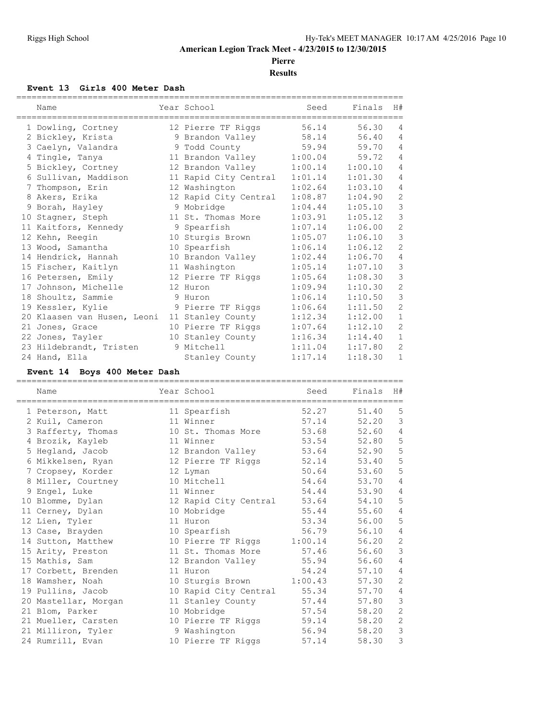**Pierre**

**Results**

#### **Event 13 Girls 400 Meter Dash**

| Name                        | Year School           | Seed    | Finals  | H#                  |
|-----------------------------|-----------------------|---------|---------|---------------------|
|                             |                       |         |         |                     |
| 1 Dowling, Cortney          | 12 Pierre TF Riggs    | 56.14   | 56.30   | 4<br>$\overline{4}$ |
| 2 Bickley, Krista           | 9 Brandon Valley      | 58.14   | 56.40   |                     |
| 3 Caelyn, Valandra          | 9 Todd County         | 59.94   | 59.70   | $\overline{4}$      |
| 4 Tingle, Tanya             | 11 Brandon Valley     | 1:00.04 | 59.72   | $\overline{4}$      |
| 5 Bickley, Cortney          | 12 Brandon Valley     | 1:00.14 | 1:00.10 | $\overline{4}$      |
| 6 Sullivan, Maddison        | 11 Rapid City Central | 1:01.14 | 1:01.30 | 4                   |
| 7 Thompson, Erin            | 12 Washington         | 1:02.64 | 1:03.10 | $\overline{4}$      |
| 8 Akers, Erika              | 12 Rapid City Central | 1:08.87 | 1:04.90 | $\overline{c}$      |
| 9 Borah, Hayley             | 9 Mobridge            | 1:04.44 | 1:05.10 | $\mathsf 3$         |
| 10 Stagner, Steph           | 11 St. Thomas More    | 1:03.91 | 1:05.12 | 3                   |
| 11 Kaitfors, Kennedy        | 9 Spearfish           | 1:07.14 | 1:06.00 | $\overline{2}$      |
| 12 Kehn, Reegin             | 10 Sturgis Brown      | 1:05.07 | 1:06.10 | $\mathcal{S}$       |
| 13 Wood, Samantha           | 10 Spearfish          | 1:06.14 | 1:06.12 | $\overline{c}$      |
| 14 Hendrick, Hannah         | 10 Brandon Valley     | 1:02.44 | 1:06.70 | $\overline{4}$      |
| 15 Fischer, Kaitlyn         | 11 Washington         | 1:05.14 | 1:07.10 | $\mathcal{S}$       |
| 16 Petersen, Emily          | 12 Pierre TF Riggs    | 1:05.64 | 1:08.30 | 3                   |
| 17 Johnson, Michelle        | 12 Huron              | 1:09.94 | 1:10.30 | $\overline{c}$      |
| 18 Shoultz, Sammie          | 9 Huron               | 1:06.14 | 1:10.50 | 3                   |
| 19 Kessler, Kylie           | 9 Pierre TF Riggs     | 1:06.64 | 1:11.50 | $\overline{c}$      |
| 20 Klaasen van Husen, Leoni | 11 Stanley County     | 1:12.34 | 1:12.00 | $\mathbf{1}$        |
| 21 Jones, Grace             | 10 Pierre TF Riggs    | 1:07.64 | 1:12.10 | $\mathbf{2}$        |
| 22 Jones, Tayler            | 10 Stanley County     | 1:16.34 | 1:14.40 | $\mathbf{1}$        |
| 23 Hildebrandt, Tristen     | 9 Mitchell            | 1:11.04 | 1:17.80 | $\overline{2}$      |
| 24 Hand, Ella               | Stanley County        | 1:17.14 | 1:18.30 | $\mathbf{1}$        |

#### **Event 14 Boys 400 Meter Dash**

| Name                    | Year School                  | Seed    | Finals | H#             |
|-------------------------|------------------------------|---------|--------|----------------|
| ----------------------- | ============================ |         |        |                |
| 1 Peterson, Matt        | 11 Spearfish                 | 52.27   | 51.40  | 5              |
| 2 Kuil, Cameron         | 11 Winner                    | 57.14   | 52.20  | 3              |
| 3 Rafferty, Thomas      | 10 St. Thomas More           | 53.68   | 52.60  | 4              |
| 4 Brozik, Kayleb        | 11 Winner                    | 53.54   | 52.80  | 5              |
| 5 Hegland, Jacob        | 12 Brandon Valley            | 53.64   | 52.90  | 5              |
| 6 Mikkelsen, Ryan       | 12 Pierre TF Riggs           | 52.14   | 53.40  | 5              |
| 7 Cropsey, Korder       | 12 Lyman                     | 50.64   | 53.60  | 5              |
| 8 Miller, Courtney      | 10 Mitchell                  | 54.64   | 53.70  | 4              |
| 9 Engel, Luke           | 11 Winner                    | 54.44   | 53.90  | $\overline{4}$ |
| 10 Blomme, Dylan        | 12 Rapid City Central        | 53.64   | 54.10  | 5              |
| 11 Cerney, Dylan        | 10 Mobridge                  | 55.44   | 55.60  | $\overline{4}$ |
| 12 Lien, Tyler          | 11 Huron                     | 53.34   | 56.00  | 5              |
| 13 Case, Brayden        | 10 Spearfish                 | 56.79   | 56.10  | $\overline{4}$ |
| 14 Sutton, Matthew      | 10 Pierre TF Riggs           | 1:00.14 | 56.20  | $\overline{c}$ |
| 15 Arity, Preston       | 11 St. Thomas More           | 57.46   | 56.60  | 3              |
| 15 Mathis, Sam          | 12 Brandon Valley            | 55.94   | 56.60  | $\overline{4}$ |
| 17 Corbett, Brenden     | 11 Huron                     | 54.24   | 57.10  | $\overline{4}$ |
| 18 Wamsher, Noah        | 10 Sturgis Brown             | 1:00.43 | 57.30  | $\overline{2}$ |
| 19 Pullins, Jacob       | 10 Rapid City Central        | 55.34   | 57.70  | $\overline{4}$ |
| 20 Mastellar, Morgan    | 11 Stanley County            | 57.44   | 57.80  | 3              |
| 21 Blom, Parker         | 10 Mobridge                  | 57.54   | 58.20  | $\overline{c}$ |
| 21 Mueller, Carsten     | 10 Pierre TF Riggs           | 59.14   | 58.20  | $\overline{c}$ |
| 21 Milliron, Tyler      | 9 Washington                 | 56.94   | 58.20  | 3              |
| 24 Rumrill, Evan        | 10 Pierre TF Riggs           | 57.14   | 58.30  | 3              |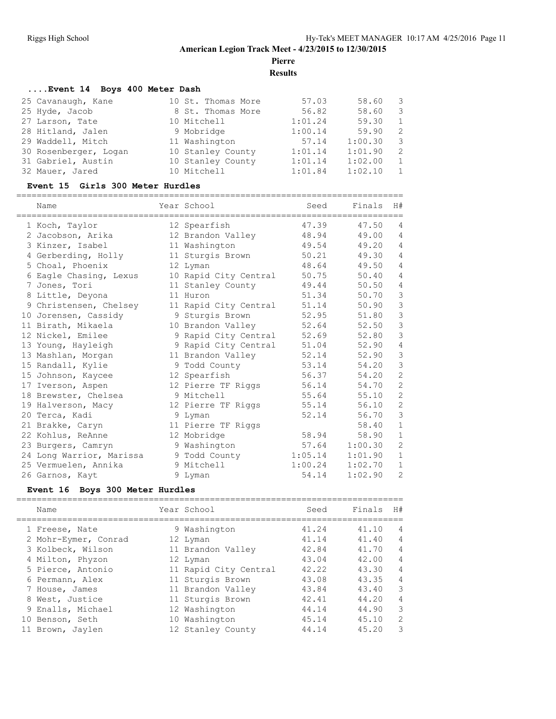**Pierre**

**Results**

============================================================================

#### **....Event 14 Boys 400 Meter Dash**

|  | 57.03                                                                                                                                          | 58.60   | - 3            |
|--|------------------------------------------------------------------------------------------------------------------------------------------------|---------|----------------|
|  | 56.82                                                                                                                                          | 58.60   | - 3            |
|  | 1:01.24                                                                                                                                        | 59.30   | 1              |
|  | 1:00.14                                                                                                                                        | 59.90   | - 2            |
|  | 57.14                                                                                                                                          | 1:00.30 | -3             |
|  | 1:01.14                                                                                                                                        | 1:01.90 | -2             |
|  | 1:01.14                                                                                                                                        | 1:02.00 | $\overline{1}$ |
|  | 1:01.84                                                                                                                                        | 1:02.10 | $\mathbf{1}$   |
|  | 10 St. Thomas More<br>8 St. Thomas More<br>10 Mitchell<br>9 Mobridge<br>11 Washington<br>10 Stanley County<br>10 Stanley County<br>10 Mitchell |         |                |

#### **Event 15 Girls 300 Meter Hurdles**

============================================================================

| Name                     | Year School           | Seed    | Finals  | H#             |
|--------------------------|-----------------------|---------|---------|----------------|
| 1 Koch, Taylor           | 12 Spearfish          | 47.39   | 47.50   | 4              |
| 2 Jacobson, Arika        | 12 Brandon Valley     | 48.94   | 49.00   | 4              |
| 3 Kinzer, Isabel         | 11 Washington         | 49.54   | 49.20   | $\overline{4}$ |
| 4 Gerberding, Holly      | 11 Sturgis Brown      | 50.21   | 49.30   | $\overline{4}$ |
| 5 Choal, Phoenix         | 12 Lyman              | 48.64   | 49.50   | $\overline{4}$ |
| 6 Eagle Chasing, Lexus   | 10 Rapid City Central | 50.75   | 50.40   | $\overline{4}$ |
| 7 Jones, Tori            | 11 Stanley County     | 49.44   | 50.50   | $\overline{4}$ |
| 8 Little, Deyona         | 11 Huron              | 51.34   | 50.70   | $\mathcal{S}$  |
| 9 Christensen, Chelsey   | 11 Rapid City Central | 51.14   | 50.90   | $\mathfrak{Z}$ |
| 10 Jorensen, Cassidy     | 9 Sturgis Brown       | 52.95   | 51.80   | $\mathcal{S}$  |
| 11 Birath, Mikaela       | 10 Brandon Valley     | 52.64   | 52.50   | $\mathcal{S}$  |
| 12 Nickel, Emilee        | 9 Rapid City Central  | 52.69   | 52.80   | $\mathcal{S}$  |
| 13 Young, Hayleigh       | 9 Rapid City Central  | 51.04   | 52.90   | 4              |
| 13 Mashlan, Morgan       | 11 Brandon Valley     | 52.14   | 52.90   | $\mathcal{S}$  |
| 15 Randall, Kylie        | 9 Todd County         | 53.14   | 54.20   | $\mathcal{S}$  |
| 15 Johnson, Kaycee       | 12 Spearfish          | 56.37   | 54.20   | $\overline{2}$ |
| 17 Iverson, Aspen        | 12 Pierre TF Riggs    | 56.14   | 54.70   | 2              |
| 18 Brewster, Chelsea     | 9 Mitchell            | 55.64   | 55.10   | $\overline{c}$ |
| 19 Halverson, Macy       | 12 Pierre TF Riggs    | 55.14   | 56.10   | $\mathbf{2}$   |
| 20 Terca, Kadi           | 9 Lyman               | 52.14   | 56.70   | $\mathcal{S}$  |
| 21 Brakke, Caryn         | 11 Pierre TF Riggs    |         | 58.40   | $\mathbf{1}$   |
| 22 Kohlus, ReAnne        | 12 Mobridge           | 58.94   | 58.90   | $\mathbf{1}$   |
| 23 Burgers, Camryn       | 9 Washington          | 57.64   | 1:00.30 | 2              |
| 24 Long Warrior, Marissa | 9 Todd County         | 1:05.14 | 1:01.90 | $1\,$          |
| 25 Vermuelen, Annika     | 9 Mitchell            | 1:00.24 | 1:02.70 | $\mathbf{1}$   |
| 26 Garnos, Kayt          | 9 Lyman               | 54.14   | 1:02.90 | 2              |

#### **Event 16 Boys 300 Meter Hurdles**

| Name                 | Year School           | Seed  | Finals H# |                |
|----------------------|-----------------------|-------|-----------|----------------|
| 1 Freese, Nate       | 9 Washington          | 41.24 | 41.10     | $\overline{4}$ |
| 2 Mohr-Eymer, Conrad | 12 Lyman              | 41.14 | 41.40     | $\overline{4}$ |
| 3 Kolbeck, Wilson    | 11 Brandon Valley     | 42.84 | 41.70     | $\overline{4}$ |
| 4 Milton, Phyzon     | 12 Lyman              | 43.04 | 42.00     | $\overline{4}$ |
| 5 Pierce, Antonio    | 11 Rapid City Central | 42.22 | 43.30     | $\overline{4}$ |
| 6 Permann, Alex      | 11 Sturgis Brown      | 43.08 | 43.35     | $\overline{4}$ |
| 7 House, James       | 11 Brandon Valley     | 43.84 | 43.40     | 3              |
| 8 West, Justice      | 11 Sturgis Brown      | 42.41 | 44.20     | $\overline{4}$ |
| 9 Enalls, Michael    | 12 Washington         | 44.14 | 44.90     | 3              |
| 10 Benson, Seth      | 10 Washington         | 45.14 | 45.10     | $\overline{2}$ |
| 11 Brown, Jaylen     | 12 Stanley County     | 44.14 | 45.20     | 3              |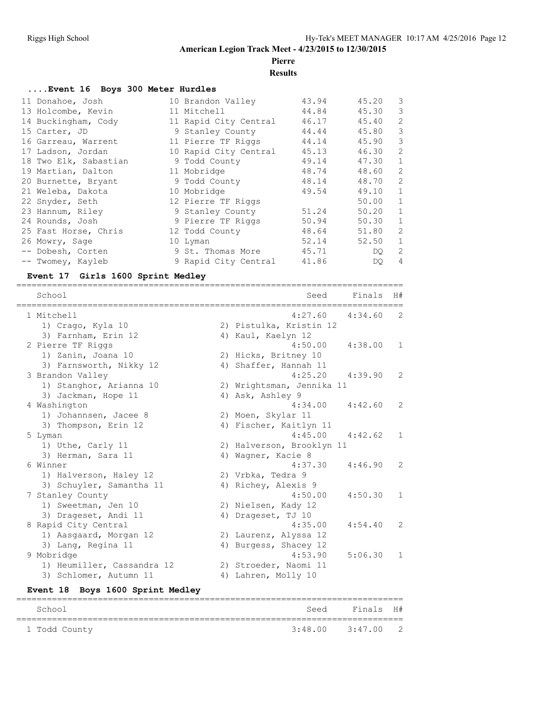# **Pierre**

**Results**

#### **....Event 16 Boys 300 Meter Hurdles**

| 11 Donahoe, Josh      | 10 Brandon Valley     | 43.94 | 45.20 | $\overline{\mathbf{3}}$ |
|-----------------------|-----------------------|-------|-------|-------------------------|
| 13 Holcombe, Kevin    | 11 Mitchell           | 44.84 | 45.30 | 3                       |
| 14 Buckingham, Cody   | 11 Rapid City Central | 46.17 | 45.40 | 2                       |
| 15 Carter, JD         | 9 Stanley County      | 44.44 | 45.80 | 3                       |
| 16 Garreau, Warrent   | 11 Pierre TF Riggs    | 44.14 | 45.90 | 3                       |
| 17 Ladson, Jordan     | 10 Rapid City Central | 45.13 | 46.30 | 2                       |
| 18 Two Elk, Sabastian | 9 Todd County         | 49.14 | 47.30 | $\mathbf{1}$            |
| 19 Martian, Dalton    | 11 Mobridge           | 48.74 | 48.60 | 2                       |
| 20 Burnette, Bryant   | 9 Todd County         | 48.14 | 48.70 | 2                       |
| 21 Weleba, Dakota     | 10 Mobridge           | 49.54 | 49.10 | $\mathbf{1}$            |
| 22 Snyder, Seth       | 12 Pierre TF Riggs    |       | 50.00 | $\mathbf{1}$            |
| 23 Hannum, Riley      | 9 Stanley County      | 51.24 | 50.20 | $\mathbf{1}$            |
| 24 Rounds, Josh       | 9 Pierre TF Riggs     | 50.94 | 50.30 | $\mathbf{1}$            |
| 25 Fast Horse, Chris  | 12 Todd County        | 48.64 | 51.80 | 2                       |
| 26 Mowry, Sage        | 10 Lyman              | 52.14 | 52.50 | $\mathbf{1}$            |
| -- Dobesh, Corten     | 9 St. Thomas More     | 45.71 | DQ.   | 2                       |
| -- Twomey, Kayleb     | 9 Rapid City Central  | 41.86 | DQ.   | $\overline{4}$          |

#### **Event 17 Girls 1600 Sprint Medley**

| ===================<br>School | ==============================<br>Finals<br>Seed | H#           |
|-------------------------------|--------------------------------------------------|--------------|
| 1 Mitchell                    | 4:27.60<br>4:34.60                               | 2            |
| 1) Crago, Kyla 10             | 2) Pistulka, Kristin 12                          |              |
| 3) Farnham, Erin 12           | 4) Kaul, Kaelyn 12                               |              |
| 2 Pierre TF Riggs             | 4:50.00<br>4:38.00                               | 1            |
| 1) Zanin, Joana 10            | 2) Hicks, Britney 10                             |              |
| 3) Farnsworth, Nikky 12       | 4) Shaffer, Hannah 11                            |              |
| 3 Brandon Valley              | 4:25.20<br>4:39.90                               | 2            |
| 1) Stanghor, Arianna 10       | 2) Wrightsman, Jennika 11                        |              |
| 3) Jackman, Hope 11           | 4) Ask, Ashley 9                                 |              |
| 4 Washington                  | $4:34.00$ $4:42.60$                              | 2            |
| 1) Johannsen, Jacee 8         | 2) Moen, Skylar 11                               |              |
| 3) Thompson, Erin 12          | 4) Fischer, Kaitlyn 11                           |              |
| 5 Lyman                       | $4:45.00$ $4:42.62$                              | 1            |
| 1) Uthe, Carly 11             | 2) Halverson, Brooklyn 11                        |              |
| 3) Herman, Sara 11            | 4) Wagner, Kacie 8                               |              |
| 6 Winner                      | 4:46.90<br>4:37.30                               | 2            |
| 1) Halverson, Haley 12        | 2) Vrbka, Tedra 9                                |              |
| 3) Schuyler, Samantha 11      | 4) Richey, Alexis 9                              |              |
| 7 Stanley County              | 4:50.00<br>4:50.30                               | $\mathbf{1}$ |
| 1) Sweetman, Jen 10           | 2) Nielsen, Kady 12                              |              |
| 3) Drageset, Andi 11          | 4) Drageset, TJ 10                               |              |
| 8 Rapid City Central          | 4:54.40<br>4:35.00                               | 2            |
| 1) Aasgaard, Morgan 12        | 2) Laurenz, Alyssa 12                            |              |
| 3) Lang, Regina 11            | 4) Burgess, Shacey 12                            |              |
| 9 Mobridge                    | 4:53.90<br>5:06.30                               | 1            |
| 1) Heumiller, Cassandra 12    | 2) Stroeder, Naomi 11                            |              |
| 3) Schlomer, Autumn 11        | 4) Lahren, Molly 10                              |              |

#### **Event 18 Boys 1600 Sprint Medley**

| School        |                       | Seed Finals H# |  |
|---------------|-----------------------|----------------|--|
| 1 Todd County | $3:48.00$ $3:47.00$ 2 |                |  |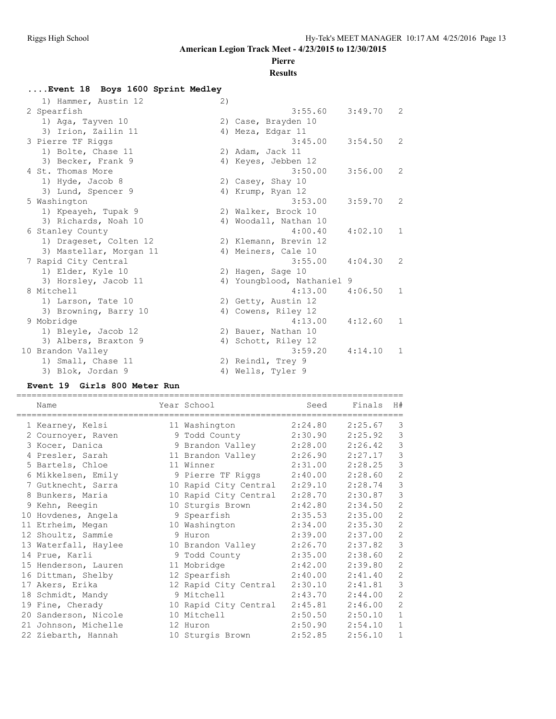# **Pierre**

## **Results**

# **....Event 18 Boys 1600 Sprint Medley**

| 1) Hammer, Austin 12    | 2) |                            |         |               |
|-------------------------|----|----------------------------|---------|---------------|
| 2 Spearfish             |    | 3:55.60                    | 3:49.70 | $\mathcal{L}$ |
| 1) Aga, Tayven 10       |    | 2) Case, Brayden 10        |         |               |
| 3) Irion, Zailin 11     |    | 4) Meza, Edgar 11          |         |               |
| 3 Pierre TF Riggs       |    | 3:45.00                    | 3:54.50 | $\mathcal{L}$ |
| 1) Bolte, Chase 11      |    | 2) Adam, Jack 11           |         |               |
| 3) Becker, Frank 9      |    | 4) Keyes, Jebben 12        |         |               |
| 4 St. Thomas More       |    | 3:50.00                    | 3:56.00 | $\mathcal{L}$ |
| 1) Hyde, Jacob 8        |    | 2) Casey, Shay 10          |         |               |
| 3) Lund, Spencer 9      |    | 4) Krump, Ryan 12          |         |               |
| 5 Washington            |    | 3:53.00                    | 3:59.70 | 2             |
| 1) Kpeayeh, Tupak 9     |    | 2) Walker, Brock 10        |         |               |
| 3) Richards, Noah 10    |    | 4) Woodall, Nathan 10      |         |               |
| 6 Stanley County        |    | 4:00.40                    | 4:02.10 | $\mathbf{1}$  |
| 1) Drageset, Colten 12  |    | 2) Klemann, Brevin 12      |         |               |
| 3) Mastellar, Morgan 11 |    | 4) Meiners, Cale 10        |         |               |
| 7 Rapid City Central    |    | 3:55.00                    | 4:04.30 | $\mathcal{L}$ |
| 1) Elder, Kyle 10       |    | 2) Hagen, Sage 10          |         |               |
| 3) Horsley, Jacob 11    |    | 4) Youngblood, Nathaniel 9 |         |               |
| 8 Mitchell              |    | 4:13.00                    | 4:06.50 | $\mathbf{1}$  |
| 1) Larson, Tate 10      |    | 2) Getty, Austin 12        |         |               |
| 3) Browning, Barry 10   |    | 4) Cowens, Riley 12        |         |               |
| 9 Mobridge              |    | 4:13.00                    | 4:12.60 | $\mathbf{1}$  |
| 1) Bleyle, Jacob 12     |    | 2) Bauer, Nathan 10        |         |               |
| 3) Albers, Braxton 9    |    | 4) Schott, Riley 12        |         |               |
| 10 Brandon Valley       |    | 3:59.20                    | 4:14.10 | 1             |
| 1) Small, Chase 11      |    | 2) Reindl, Trey 9          |         |               |
| 3) Blok, Jordan 9       |    | 4) Wells, Tyler 9          |         |               |

#### **Event 19 Girls 800 Meter Run**

| Name                 | Year School           | Seed    | Finals  | H#             |
|----------------------|-----------------------|---------|---------|----------------|
| 1 Kearney, Kelsi     | 11 Washington         | 2:24.80 | 2:25.67 | 3              |
| 2 Cournoyer, Raven   | 9 Todd County         | 2:30.90 | 2:25.92 | 3              |
| 3 Kocer, Danica      | 9 Brandon Valley      | 2:28.00 | 2:26.42 | $\mathcal{S}$  |
| 4 Presler, Sarah     | 11 Brandon Valley     | 2:26.90 | 2:27.17 | 3              |
| 5 Bartels, Chloe     | 11 Winner             | 2:31.00 | 2:28.25 | 3              |
| 6 Mikkelsen, Emily   | 9 Pierre TF Riggs     | 2:40.00 | 2:28.60 | 2              |
| 7 Gutknecht, Sarra   | 10 Rapid City Central | 2:29.10 | 2:28.74 | $\mathcal{S}$  |
| 8 Bunkers, Maria     | 10 Rapid City Central | 2:28.70 | 2:30.87 | 3              |
| 9 Kehn, Reegin       | 10 Sturgis Brown      | 2:42.80 | 2:34.50 | $\overline{2}$ |
| 10 Hovdenes, Angela  | 9 Spearfish           | 2:35.53 | 2:35.00 | $\overline{c}$ |
| 11 Etrheim, Megan    | 10 Washington         | 2:34.00 | 2:35.30 | $\overline{2}$ |
| 12 Shoultz, Sammie   | 9 Huron               | 2:39.00 | 2:37.00 | $\overline{2}$ |
| 13 Waterfall, Haylee | 10 Brandon Valley     | 2:26.70 | 2:37.82 | $\mathcal{S}$  |
| 14 Prue, Karli       | 9 Todd County         | 2:35.00 | 2:38.60 | $\overline{2}$ |
| 15 Henderson, Lauren | 11 Mobridge           | 2:42.00 | 2:39.80 | $\overline{2}$ |
| 16 Dittman, Shelby   | 12 Spearfish          | 2:40.00 | 2:41.40 | $\overline{2}$ |
| 17 Akers, Erika      | 12 Rapid City Central | 2:30.10 | 2:41.81 | $\mathcal{S}$  |
| 18 Schmidt, Mandy    | 9 Mitchell            | 2:43.70 | 2:44.00 | $\overline{2}$ |
| 19 Fine, Cherady     | 10 Rapid City Central | 2:45.81 | 2:46.00 | $\overline{2}$ |
| 20 Sanderson, Nicole | 10 Mitchell           | 2:50.50 | 2:50.10 | $\mathbf{1}$   |
| 21 Johnson, Michelle | 12 Huron              | 2:50.90 | 2:54.10 | $\mathbf{1}$   |
| 22 Ziebarth, Hannah  | 10 Sturgis Brown      | 2:52.85 | 2:56.10 | $\mathbf{1}$   |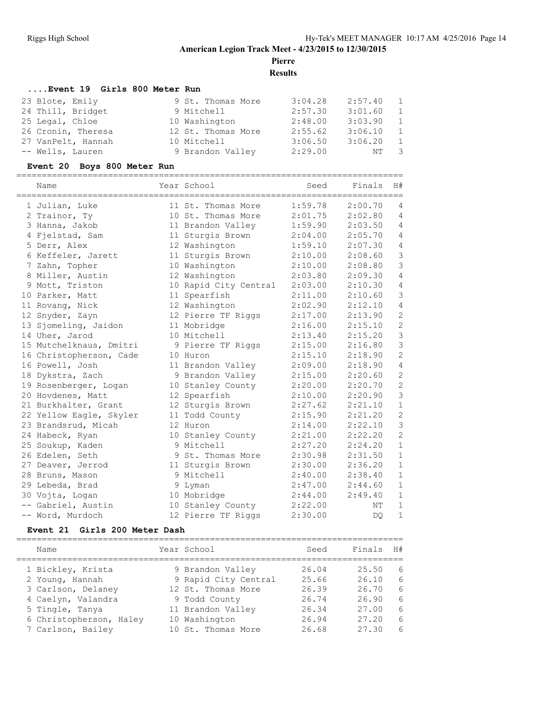**Pierre**

**Results**

#### **....Event 19 Girls 800 Meter Run**

| 23 Blote, Emily    | 9 St. Thomas More  | 3:04.28 | 2:57.40 | $\overline{1}$ |
|--------------------|--------------------|---------|---------|----------------|
| 24 Thill, Bridget  | 9 Mitchell         | 2:57.30 | 3:01.60 | - 1            |
| 25 Legal, Chloe    | 10 Washington      | 2:48.00 | 3:03.90 | $\overline{1}$ |
| 26 Cronin, Theresa | 12 St. Thomas More | 2:55.62 | 3:06.10 | $\overline{1}$ |
| 27 VanPelt, Hannah | 10 Mitchell        | 3:06.50 | 3:06.20 | $\overline{1}$ |
| -- Wells, Lauren   | 9 Brandon Valley   | 2:29.00 | NT 3    |                |

#### **Event 20 Boys 800 Meter Run**

| Name                    | Year School           | Seed    | Finals  | H#             |
|-------------------------|-----------------------|---------|---------|----------------|
| 1 Julian, Luke          | 11 St. Thomas More    | 1:59.78 | 2:00.70 | 4              |
| 2 Trainor, Ty           | 10 St. Thomas More    | 2:01.75 | 2:02.80 | $\overline{4}$ |
| 3 Hanna, Jakob          | 11 Brandon Valley     | 1:59.90 | 2:03.50 | 4              |
| 4 Fielstad, Sam         | 11 Sturgis Brown      | 2:04.00 | 2:05.70 | 4              |
| 5 Derr, Alex            | 12 Washington         | 1:59.10 | 2:07.30 | $\overline{4}$ |
| 6 Keffeler, Jarett      | 11 Sturgis Brown      | 2:10.00 | 2:08.60 | $\mathsf 3$    |
| 7 Zahn, Topher          | 10 Washington         | 2:10.00 | 2:08.80 | $\mathfrak{Z}$ |
| 8 Miller, Austin        | 12 Washington         | 2:03.80 | 2:09.30 | $\overline{4}$ |
|                         |                       | 2:03.00 | 2:10.30 | 4              |
| 9 Mott, Triston         | 10 Rapid City Central | 2:11.00 | 2:10.60 | 3              |
| 10 Parker, Matt         | 11 Spearfish          |         |         |                |
| 11 Rovang, Nick         | 12 Washington         | 2:02.90 | 2:12.10 | 4              |
| 12 Snyder, Zayn         | 12 Pierre TF Riggs    | 2:17.00 | 2:13.90 | $\overline{c}$ |
| 13 Sjomeling, Jaidon    | 11 Mobridge           | 2:16.00 | 2:15.10 | $\overline{c}$ |
| 14 Uher, Jarod          | 10 Mitchell           | 2:13.40 | 2:15.20 | $\mathbf{3}$   |
| 15 Mutchelknaus, Dmitri | 9 Pierre TF Riggs     | 2:15.00 | 2:16.80 | $\mathfrak{Z}$ |
| 16 Christopherson, Cade | 10 Huron              | 2:15.10 | 2:18.90 | $\overline{2}$ |
| 16 Powell, Josh         | 11 Brandon Valley     | 2:09.00 | 2:18.90 | $\sqrt{4}$     |
| 18 Dykstra, Zach        | 9 Brandon Valley      | 2:15.00 | 2:20.60 | $\overline{c}$ |
| 19 Rosenberger, Logan   | 10 Stanley County     | 2:20.00 | 2:20.70 | $\overline{c}$ |
| 20 Hovdenes, Matt       | 12 Spearfish          | 2:10.00 | 2:20.90 | 3              |
| 21 Burkhalter, Grant    | 12 Sturgis Brown      | 2:27.62 | 2:21.10 | $1\,$          |
| 22 Yellow Eagle, Skyler | 11 Todd County        | 2:15.90 | 2:21.20 | $\overline{c}$ |
| 23 Brandsrud, Micah     | 12 Huron              | 2:14.00 | 2:22.10 | 3              |
| 24 Habeck, Ryan         | 10 Stanley County     | 2:21.00 | 2:22.20 | $\overline{c}$ |
| 25 Soukup, Kaden        | 9 Mitchell            | 2:27.20 | 2:24.20 | $\mathbf{1}$   |
| 26 Edelen, Seth         | 9 St. Thomas More     | 2:30.98 | 2:31.50 | $\mathbf{1}$   |
| 27 Deaver, Jerrod       | 11 Sturgis Brown      | 2:30.00 | 2:36.20 | $1\,$          |
| 28 Bruns, Mason         | 9 Mitchell            | 2:40.00 | 2:38.40 | $1\,$          |
| 29 Lebeda, Brad         | 9 Lyman               | 2:47.00 | 2:44.60 | $\mathbf{1}$   |
| 30 Vojta, Logan         | 10 Mobridge           | 2:44.00 | 2:49.40 | $\mathbf{1}$   |
| -- Gabriel, Austin      | 10 Stanley County     | 2:22.00 | ΝT      | $\mathbf{1}$   |
| -- Word, Murdoch        | 12 Pierre TF Riggs    | 2:30.00 | DO      | $\mathbf{1}$   |

#### **Event 21 Girls 200 Meter Dash**

| Name                    | Year School          | Seed  | Finals | H# |
|-------------------------|----------------------|-------|--------|----|
| 1 Bickley, Krista       | 9 Brandon Valley     | 26.04 | 25.50  | 6  |
| 2 Young, Hannah         | 9 Rapid City Central | 25.66 | 26.10  | 6  |
| 3 Carlson, Delaney      | 12 St. Thomas More   | 26.39 | 26.70  | 6  |
| 4 Caelyn, Valandra      | 9 Todd County        | 26.74 | 26.90  | 6  |
| 5 Tingle, Tanya         | 11 Brandon Valley    | 26.34 | 27.00  | 6  |
| 6 Christopherson, Haley | 10 Washington        | 26.94 | 27.20  | 6  |
| 7 Carlson, Bailey       | 10 St. Thomas More   | 26.68 | 27.30  | 6  |
|                         |                      |       |        |    |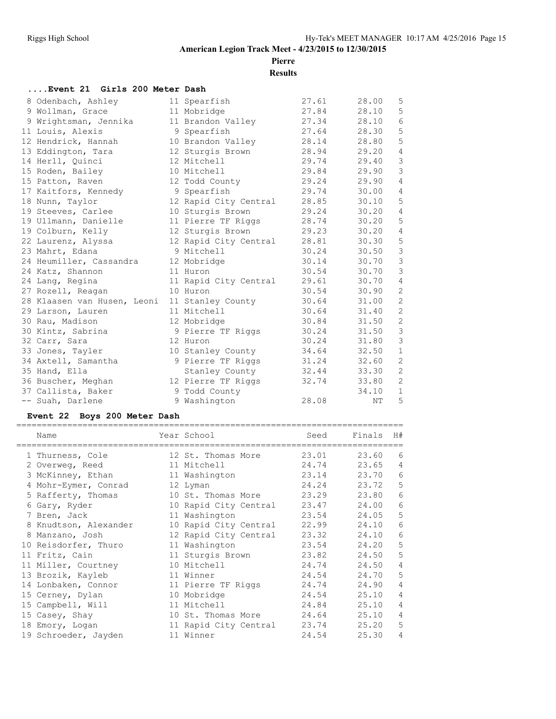**Pierre**

**Results**

#### **....Event 21 Girls 200 Meter Dash**

|  | 8 Odenbach, Ashley          | 11 Spearfish          | 27.61 | 28.00 | 5              |
|--|-----------------------------|-----------------------|-------|-------|----------------|
|  | 9 Wollman, Grace            | 11 Mobridge           | 27.84 | 28.10 | 5              |
|  | 9 Wrightsman, Jennika       | 11 Brandon Valley     | 27.34 | 28.10 | $\epsilon$     |
|  | 11 Louis, Alexis            | 9 Spearfish           | 27.64 | 28.30 | 5              |
|  | 12 Hendrick, Hannah         | 10 Brandon Valley     | 28.14 | 28.80 | 5              |
|  | 13 Eddington, Tara          | 12 Sturgis Brown      | 28.94 | 29.20 | 4              |
|  | 14 Herll, Quinci            | 12 Mitchell           | 29.74 | 29.40 | $\mathfrak{Z}$ |
|  | 15 Roden, Bailey            | 10 Mitchell           | 29.84 | 29.90 | $\mathfrak{Z}$ |
|  | 15 Patton, Raven            | 12 Todd County        | 29.24 | 29.90 | $\overline{4}$ |
|  | 17 Kaitfors, Kennedy        | 9 Spearfish           | 29.74 | 30.00 | $\overline{4}$ |
|  | 18 Nunn, Taylor             | 12 Rapid City Central | 28.85 | 30.10 | 5              |
|  | 19 Steeves, Carlee          | 10 Sturgis Brown      | 29.24 | 30.20 | $\overline{4}$ |
|  | 19 Ullmann, Danielle        | 11 Pierre TF Riggs    | 28.74 | 30.20 | 5              |
|  | 19 Colburn, Kelly           | 12 Sturgis Brown      | 29.23 | 30.20 | $\overline{4}$ |
|  | 22 Laurenz, Alyssa          | 12 Rapid City Central | 28.81 | 30.30 | 5              |
|  | 23 Mahrt, Edana             | 9 Mitchell            | 30.24 | 30.50 | 3              |
|  | 24 Heumiller, Cassandra     | 12 Mobridge           | 30.14 | 30.70 | $\mathfrak{Z}$ |
|  | 24 Katz, Shannon            | 11 Huron              | 30.54 | 30.70 | $\mathcal{E}$  |
|  | 24 Lang, Regina             | 11 Rapid City Central | 29.61 | 30.70 | $\overline{4}$ |
|  | 27 Rozell, Reagan           | 10 Huron              | 30.54 | 30.90 | $\overline{c}$ |
|  | 28 Klaasen van Husen, Leoni | 11 Stanley County     | 30.64 | 31.00 | $\overline{c}$ |
|  | 29 Larson, Lauren           | 11 Mitchell           | 30.64 | 31.40 | $\overline{c}$ |
|  | 30 Rau, Madison             | 12 Mobridge           | 30.84 | 31.50 | $\overline{c}$ |
|  | 30 Kintz, Sabrina           | 9 Pierre TF Riggs     | 30.24 | 31.50 | $\mathfrak{Z}$ |
|  | 32 Carr, Sara               | 12 Huron              | 30.24 | 31.80 | $\mathfrak{Z}$ |
|  | 33 Jones, Tayler            | 10 Stanley County     | 34.64 | 32.50 | $\mathbf{1}$   |
|  | 34 Axtell, Samantha         | 9 Pierre TF Riggs     | 31.24 | 32.60 | $\overline{c}$ |
|  | 35 Hand, Ella               | Stanley County        | 32.44 | 33.30 | $\sqrt{2}$     |
|  | 36 Buscher, Meghan          | 12 Pierre TF Riggs    | 32.74 | 33.80 | $\overline{2}$ |
|  | 37 Callista, Baker          | 9 Todd County         |       | 34.10 | $\mathbf{1}$   |
|  | -- Suah, Darlene            | 9 Washington          | 28.08 | NΤ    | 5              |
|  |                             |                       |       |       |                |

#### **Event 22 Boys 200 Meter Dash**

| Name                  | Year School                 | Seed  | Finals | H# |
|-----------------------|-----------------------------|-------|--------|----|
| 1 Thurness, Cole      | 12 St. Thomas More          | 23.01 | 23.60  | 6  |
| 2 Overweg, Reed       | 11 Mitchell                 | 24.74 | 23.65  | 4  |
| 3 McKinney, Ethan     | 11 Washington               | 23.14 | 23.70  | 6  |
| 4 Mohr-Eymer, Conrad  | 12 Lyman                    | 24.24 | 23.72  | 5  |
| 5 Rafferty, Thomas    | 10 St. Thomas More          | 23.29 | 23.80  | 6  |
| 6 Gary, Ryder         | 10 Rapid City Central       | 23.47 | 24.00  | 6  |
| 7 Bren, Jack          | 11 Washington               | 23.54 | 24.05  | 5  |
| 8 Knudtson, Alexander | 10 Rapid City Central       | 22.99 | 24.10  | 6  |
| 8 Manzano, Josh       | 12 Rapid City Central       | 23.32 | 24.10  | 6  |
| 10 Reisdorfer, Thuro  | 11 Washington               | 23.54 | 24.20  | 5  |
| 11 Fritz, Cain        | 11 Sturgis Brown            | 23.82 | 24.50  | 5  |
| 11 Miller, Courtney   | 10 Mitchell                 | 24.74 | 24.50  | 4  |
| 13 Brozik, Kayleb     | 11 Winner                   | 24.54 | 24.70  | 5  |
| 14 Lonbaken, Connor   | 11 Pierre TF Riggs          | 24.74 | 24.90  | 4  |
| 15 Cerney, Dylan      | 10 Mobridge                 | 24.54 | 25.10  | 4  |
| 15 Campbell, Will     | 11 Mitchell                 | 24.84 | 25.10  | 4  |
| 15 Casey, Shay        | 10 St. Thomas More          | 24.64 | 25.10  | 4  |
| 18 Emory, Logan       | 11 Rapid City Central 23.74 |       | 25.20  | 5  |
| 19 Schroeder, Jayden  | 11 Winner                   | 24.54 | 25.30  | 4  |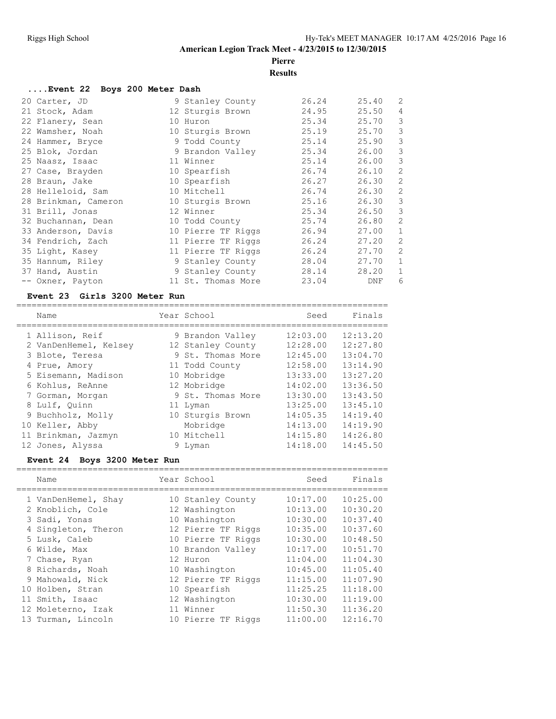# **Pierre**

**Results**

| Event 22 Boys 200 Meter Dash |                    |       |       |                |
|------------------------------|--------------------|-------|-------|----------------|
| 20 Carter, JD                | 9 Stanley County   | 26.24 | 25.40 | $\overline{c}$ |
| 21 Stock, Adam               | 12 Sturgis Brown   | 24.95 | 25.50 | 4              |
| 22 Flanery, Sean             | 10 Huron           | 25.34 | 25.70 | 3              |
| 22 Wamsher, Noah             | 10 Sturgis Brown   | 25.19 | 25.70 | 3              |
| 24 Hammer, Bryce             | 9 Todd County      | 25.14 | 25.90 | 3              |
| 25 Blok, Jordan              | 9 Brandon Valley   | 25.34 | 26.00 | 3              |
| 25 Naasz, Isaac              | 11 Winner          | 25.14 | 26.00 | 3              |
| 27 Case, Brayden             | 10 Spearfish       | 26.74 | 26.10 | $\overline{c}$ |
| 28 Braun, Jake               | 10 Spearfish       | 26.27 | 26.30 | $\overline{c}$ |
| 28 Helleloid, Sam            | 10 Mitchell        | 26.74 | 26.30 | $\overline{2}$ |
| 28 Brinkman, Cameron         | 10 Sturgis Brown   | 25.16 | 26.30 | 3              |
| 31 Brill, Jonas              | 12 Winner          | 25.34 | 26.50 | $\mathcal{S}$  |
| 32 Buchannan, Dean           | 10 Todd County     | 25.74 | 26.80 | $\overline{c}$ |
| 33 Anderson, Davis           | 10 Pierre TF Riggs | 26.94 | 27.00 | $\mathbf{1}$   |
| 34 Fendrich, Zach            | 11 Pierre TF Riggs | 26.24 | 27.20 | $\overline{c}$ |
| 35 Light, Kasey              | 11 Pierre TF Riggs | 26.24 | 27.70 | $\overline{2}$ |
| 35 Hannum, Riley             | 9 Stanley County   | 28.04 | 27.70 | $\mathbf{1}$   |
| 37 Hand, Austin              | 9 Stanley County   | 28.14 | 28.20 | $\mathbf{1}$   |
| -- Oxner, Payton             | 11 St. Thomas More | 23.04 | DNF   | 6              |

#### **Event 23 Girls 3200 Meter Run**

| Name                  | Year School       | Seed     | Finals   |
|-----------------------|-------------------|----------|----------|
| 1 Allison, Reif       | 9 Brandon Valley  | 12:03.00 | 12:13.20 |
|                       |                   |          |          |
| 2 VanDenHemel, Kelsey | 12 Stanley County | 12:28.00 | 12:27.80 |
| 3 Blote, Teresa       | 9 St. Thomas More | 12:45.00 | 13:04.70 |
| 4 Prue, Amory         | 11 Todd County    | 12:58.00 | 13:14.90 |
| 5 Eisemann, Madison   | 10 Mobridge       | 13:33.00 | 13:27.20 |
| 6 Kohlus, ReAnne      | 12 Mobridge       | 14:02.00 | 13:36.50 |
| 7 Gorman, Morgan      | 9 St. Thomas More | 13:30.00 | 13:43.50 |
| 8 Lulf, Ouinn         | 11 Lyman          | 13:25.00 | 13:45.10 |
| 9 Buchholz, Molly     | 10 Sturgis Brown  | 14:05.35 | 14:19.40 |
| 10 Keller, Abby       | Mobridge          | 14:13.00 | 14:19.90 |
| 11 Brinkman, Jazmyn   | 10 Mitchell       | 14:15.80 | 14:26.80 |
| 12 Jones, Alyssa      | 9 Lyman           | 14:18.00 | 14:45.50 |

#### **Event 24 Boys 3200 Meter Run**

| Name                | Year School        | Seed     | Finals   |
|---------------------|--------------------|----------|----------|
| 1 VanDenHemel, Shay | 10 Stanley County  | 10:17.00 | 10:25.00 |
| 2 Knoblich, Cole    | 12 Washington      | 10:13.00 | 10:30.20 |
| 3 Sadi, Yonas       | 10 Washington      | 10:30.00 | 10:37.40 |
| 4 Singleton, Theron | 12 Pierre TF Riggs | 10:35.00 | 10:37.60 |
| 5 Lusk, Caleb       | 10 Pierre TF Riggs | 10:30.00 | 10:48.50 |
| 6 Wilde, Max        | 10 Brandon Valley  | 10:17.00 | 10:51.70 |
| 7 Chase, Ryan       | 12 Huron           | 11:04.00 | 11:04.30 |
| 8 Richards, Noah    | 10 Washington      | 10:45.00 | 11:05.40 |
| 9 Mahowald, Nick    | 12 Pierre TF Riggs | 11:15.00 | 11:07.90 |
| 10 Holben, Stran    | 10 Spearfish       | 11:25.25 | 11:18.00 |
| 11 Smith, Isaac     | 12 Washington      | 10:30.00 | 11:19.00 |
| 12 Moleterno, Izak  | 11 Winner          | 11:50.30 | 11:36.20 |
| 13 Turman, Lincoln  | 10 Pierre TF Riggs | 11:00.00 | 12:16.70 |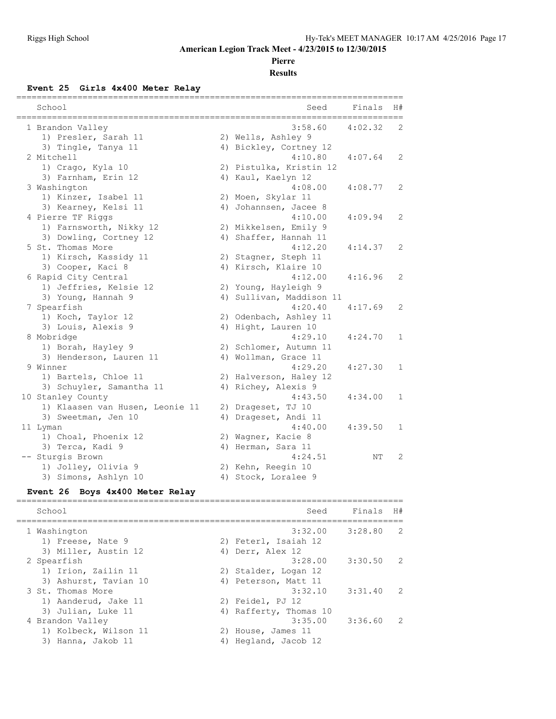#### **Pierre**

**Results**

#### **Event 25 Girls 4x400 Meter Relay**

| School                          | Seed                     | Finals  | H#           |
|---------------------------------|--------------------------|---------|--------------|
| 1 Brandon Valley                | 3:58.60                  | 4:02.32 | 2            |
| 1) Presler, Sarah 11            | 2) Wells, Ashley 9       |         |              |
| 3) Tingle, Tanya 11             | 4) Bickley, Cortney 12   |         |              |
| 2 Mitchell                      | 4:10.80                  | 4:07.64 | 2            |
| 1) Crago, Kyla 10               | 2) Pistulka, Kristin 12  |         |              |
| 3) Farnham, Erin 12             | 4) Kaul, Kaelyn 12       |         |              |
| 3 Washington                    | 4:08.00                  | 4:08.77 | 2            |
| 1) Kinzer, Isabel 11            | 2) Moen, Skylar 11       |         |              |
| 3) Kearney, Kelsi 11            | 4) Johannsen, Jacee 8    |         |              |
| 4 Pierre TF Riggs               | 4:10.00                  | 4:09.94 | 2            |
| 1) Farnsworth, Nikky 12         | 2) Mikkelsen, Emily 9    |         |              |
| 3) Dowling, Cortney 12          | 4) Shaffer, Hannah 11    |         |              |
| 5 St. Thomas More               | 4:12.20                  | 4:14.37 | 2            |
| 1) Kirsch, Kassidy 11           | 2) Stagner, Steph 11     |         |              |
| 3) Cooper, Kaci 8               | 4) Kirsch, Klaire 10     |         |              |
| 6 Rapid City Central            | 4:12.00                  | 4:16.96 | 2            |
| 1) Jeffries, Kelsie 12          | 2) Young, Hayleigh 9     |         |              |
| 3) Young, Hannah 9              | 4) Sullivan, Maddison 11 |         |              |
| 7 Spearfish                     | 4:20.40                  | 4:17.69 | 2            |
| 1) Koch, Taylor 12              | 2) Odenbach, Ashley 11   |         |              |
| 3) Louis, Alexis 9              | 4) Hight, Lauren 10      |         |              |
| 8 Mobridge                      | 4:29.10                  | 4:24.70 | 1            |
| 1) Borah, Hayley 9              | 2) Schlomer, Autumn 11   |         |              |
| 3) Henderson, Lauren 11         | 4) Wollman, Grace 11     |         |              |
| 9 Winner                        | 4:29.20                  | 4:27.30 | 1            |
| 1) Bartels, Chloe 11            | 2) Halverson, Haley 12   |         |              |
| 3) Schuyler, Samantha 11        | 4) Richey, Alexis 9      |         |              |
| 10 Stanley County               | 4:43.50                  | 4:34.00 | $\mathbf{1}$ |
| 1) Klaasen van Husen, Leonie 11 | 2) Drageset, TJ 10       |         |              |
| 3) Sweetman, Jen 10             | 4) Drageset, Andi 11     |         |              |
| 11 Lyman                        | 4:40.00                  | 4:39.50 | 1            |
| 1) Choal, Phoenix 12            | 2) Wagner, Kacie 8       |         |              |
| 3) Terca, Kadi 9                | 4) Herman, Sara 11       |         |              |
| -- Sturgis Brown                | 4:24.51                  | ΝT      | 2            |
| 1) Jolley, Olivia 9             | 2) Kehn, Reegin 10       |         |              |
| 3) Simons, Ashlyn 10            | 4) Stock, Loralee 9      |         |              |
|                                 |                          |         |              |

#### **Event 26 Boys 4x400 Meter Relay**

============================================================================ School Seed Finals H# ============================================================================ 1 Washington 3:32.00 3:28.80 2 1) Freese, Nate 9 2) Feterl, Isaiah 12 3) Miller, Austin 12 (4) Derr, Alex 12 2 Spearfish 3:28.00 3:30.50 2 1) Irion, Zailin 11 2) Stalder, Logan 12 3) Ashurst, Tavian 10 (4) Peterson, Matt 11 3 St. Thomas More 3:32.10 3:31.40 2 1) Aanderud, Jake 11 2) Feidel, PJ 12 3) Julian, Luke 11 4) Rafferty, Thomas 10 4 Brandon Valley 3:35.00 3:36.60 2 1) Kolbeck, Wilson 11 2) House, James 11 3) Hanna, Jakob 11 (4) Hegland, Jacob 12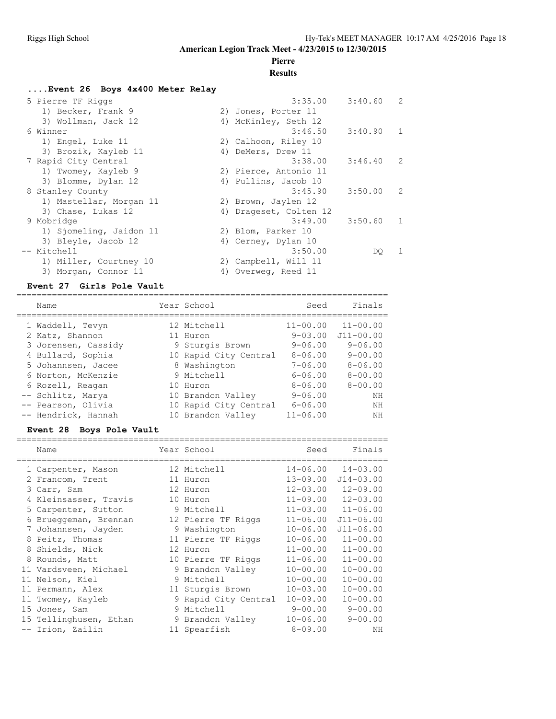# **Pierre**

### **Results**

#### **....Event 26 Boys 4x400 Meter Relay**

| 5 Pierre TF Riggs       | 3:40.60<br>3:35.00                   | $\mathcal{L}$ |
|-------------------------|--------------------------------------|---------------|
| 1) Becker, Frank 9      | 2) Jones, Porter 11                  |               |
| 3) Wollman, Jack 12     | 4) McKinley, Seth 12                 |               |
| 6 Winner                | 3:46.50<br>3:40.90 1                 |               |
| 1) Engel, Luke 11       | 2) Calhoon, Riley 10                 |               |
| 3) Brozik, Kayleb 11    | 4) DeMers, Drew 11                   |               |
| 7 Rapid City Central    | 3:38.00<br>$3:46.40$ 2               |               |
| 1) Twomey, Kayleb 9     | 2) Pierce, Antonio 11                |               |
| 3) Blomme, Dylan 12     | 4) Pullins, Jacob 10                 |               |
| 8 Stanley County        | 3:45.90<br>3:50.00<br>$\overline{2}$ |               |
| 1) Mastellar, Morgan 11 | 2) Brown, Jaylen 12                  |               |
| 3) Chase, Lukas 12      | 4) Drageset, Colten 12               |               |
| 9 Mobridge              | 3:49.00<br>3:50.60 1                 |               |
| 1) Sjomeling, Jaidon 11 | 2) Blom, Parker 10                   |               |
| 3) Bleyle, Jacob 12     | 4) Cerney, Dylan 10                  |               |
| -- Mitchell             | 3:50.00<br>DO.                       | -1            |
| 1) Miller, Courtney 10  | 2) Campbell, Will 11                 |               |
| 3) Morgan, Connor 11    | 4) Overweg, Reed 11                  |               |

#### **Event 27 Girls Pole Vault**

| Name                | Year School           | Seed         | Finals        |
|---------------------|-----------------------|--------------|---------------|
| 1 Waddell, Tevyn    | 12 Mitchell           | $11 - 00.00$ | $11 - 00.00$  |
| 2 Katz, Shannon     | 11 Huron              | $9 - 03.00$  | $J11 - 00.00$ |
| 3 Jorensen, Cassidy | 9 Sturgis Brown       | $9 - 06.00$  | $9 - 06.00$   |
| 4 Bullard, Sophia   | 10 Rapid City Central | $8 - 06.00$  | $9 - 00.00$   |
| 5 Johannsen, Jacee  | 8 Washington          | $7 - 06.00$  | $8 - 06.00$   |
| 6 Norton, McKenzie  | 9 Mitchell            | $6 - 06.00$  | $8 - 00.00$   |
| 6 Rozell, Reagan    | 10 Huron              | $8 - 06.00$  | $8 - 00.00$   |
| -- Schlitz, Marya   | 10 Brandon Valley     | $9 - 06.00$  | NΗ            |
| -- Pearson, Olivia  | 10 Rapid City Central | $6 - 06.00$  | NΗ            |
| -- Hendrick, Hannah | 10 Brandon Valley     | $11 - 06.00$ | NΗ            |

#### **Event 28 Boys Pole Vault**

|   | Name                   | Year School          | Seed         | Finals        |
|---|------------------------|----------------------|--------------|---------------|
|   | 1 Carpenter, Mason     | 12 Mitchell          | $14 - 06.00$ | $14 - 03.00$  |
|   | 2 Francom, Trent       | 11 Huron             | $13 - 09.00$ | $J14 - 03.00$ |
|   | 3 Carr, Sam            | 12 Huron             | $12 - 03.00$ | $12 - 09.00$  |
|   | 4 Kleinsasser, Travis  | 10 Huron             | $11 - 09.00$ | $12 - 03.00$  |
|   | 5 Carpenter, Sutton    | 9 Mitchell           | $11 - 03.00$ | $11 - 06.00$  |
|   | 6 Brueggeman, Brennan  | 12 Pierre TF Riggs   | $11 - 06.00$ | $J11 - 06.00$ |
|   | 7 Johannsen, Jayden    | 9 Washington         | $10 - 06.00$ | $J11 - 06.00$ |
|   | 8 Peitz, Thomas        | 11 Pierre TF Riggs   | $10 - 06.00$ | $11 - 00.00$  |
| 8 | Shields, Nick          | 12 Huron             | $11 - 00.00$ | $11 - 00.00$  |
|   | 8 Rounds, Matt         | 10 Pierre TF Riggs   | $11 - 06.00$ | $11 - 00.00$  |
|   | 11 Vardsveen, Michael  | 9 Brandon Valley     | $10 - 00.00$ | $10 - 00.00$  |
|   | 11 Nelson, Kiel        | 9 Mitchell           | $10 - 00.00$ | $10 - 00.00$  |
|   | 11 Permann, Alex       | 11 Sturgis Brown     | $10 - 03.00$ | $10 - 00.00$  |
|   | 11 Twomey, Kayleb      | 9 Rapid City Central | $10 - 09.00$ | $10 - 00.00$  |
|   | 15 Jones, Sam          | 9 Mitchell           | $9 - 00.00$  | $9 - 00.00$   |
|   | 15 Tellinghusen, Ethan | 9 Brandon Valley     | $10 - 06.00$ | $9 - 00.00$   |
|   | -- Irion, Zailin       | 11 Spearfish         | $8 - 09.00$  | ΝH            |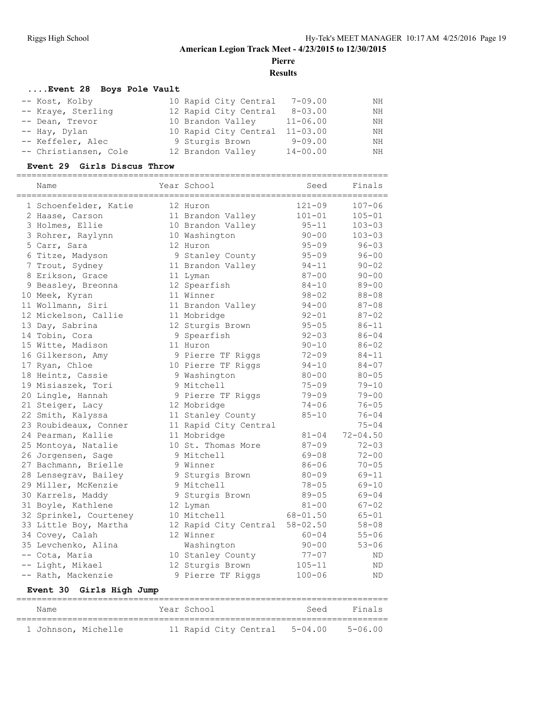**Pierre**

**Results**

#### **....Event 28 Boys Pole Vault**

| -- Kost, Kolby        | 10 Rapid City Central | 7-09.00      | NH  |
|-----------------------|-----------------------|--------------|-----|
| -- Kraye, Sterling    | 12 Rapid City Central | $8 - 03.00$  | NH  |
| -- Dean, Trevor       | 10 Brandon Valley     | $11 - 06.00$ | NH  |
| -- Hay, Dylan         | 10 Rapid City Central | $11 - 03.00$ | NH  |
| -- Keffeler, Alec     | 9 Sturgis Brown       | $9 - 09.00$  | NH. |
| -- Christiansen, Cole | 12 Brandon Valley     | $14 - 00.00$ | NH  |

#### **Event 29 Girls Discus Throw**

| Name                   | Year School           | Seed         | Finals       |
|------------------------|-----------------------|--------------|--------------|
| 1 Schoenfelder, Katie  | 12 Huron              | $121 - 09$   | $107 - 06$   |
| 2 Haase, Carson        | 11 Brandon Valley     | $101 - 01$   | $105 - 01$   |
| 3 Holmes, Ellie        | 10 Brandon Valley     | $95 - 11$    | $103 - 03$   |
| 3 Rohrer, Raylynn      | 10 Washington         | $90 - 00$    | $103 - 03$   |
| 5 Carr, Sara           | 12 Huron              | $95 - 09$    | $96 - 03$    |
| 6 Titze, Madyson       | 9 Stanley County      | $95 - 09$    | $96 - 00$    |
| 7 Trout, Sydney        | 11 Brandon Valley     | $94 - 11$    | $90 - 02$    |
| 8 Erikson, Grace       | 11 Lyman              | $87 - 00$    | $90 - 00$    |
| 9 Beasley, Breonna     | 12 Spearfish          | $84 - 10$    | $89 - 00$    |
| 10 Meek, Kyran         | 11 Winner             | $98 - 02$    | $88 - 08$    |
| 11 Wollmann, Siri      | 11 Brandon Valley     | $94 - 00$    | $87 - 08$    |
| 12 Mickelson, Callie   | 11 Mobridge           | $92 - 01$    | $87 - 02$    |
| 13 Day, Sabrina        | 12 Sturgis Brown      | $95 - 05$    | $86 - 11$    |
| 14 Tobin, Cora         | 9 Spearfish           | $92 - 03$    | $86 - 04$    |
| 15 Witte, Madison      | 11 Huron              | $90 - 10$    | $86 - 02$    |
| 16 Gilkerson, Amy      | 9 Pierre TF Riggs     | $72 - 09$    | $84 - 11$    |
| 17 Ryan, Chloe         | 10 Pierre TF Riggs    | $94 - 10$    | $84 - 07$    |
| 18 Heintz, Cassie      | 9 Washington          | $80 - 00$    | $80 - 05$    |
| 19 Misiaszek, Tori     | 9 Mitchell            | $75 - 09$    | $79 - 10$    |
| 20 Lingle, Hannah      | 9 Pierre TF Riggs     | $79 - 09$    | $79 - 00$    |
| 21 Steiger, Lacy       | 12 Mobridge           | $74 - 06$    | $76 - 05$    |
| 22 Smith, Kalyssa      | 11 Stanley County     | $85 - 10$    | $76 - 04$    |
| 23 Roubideaux, Conner  | 11 Rapid City Central |              | $75 - 04$    |
| 24 Pearman, Kallie     | 11 Mobridge           | $81 - 04$    | $72 - 04.50$ |
| 25 Montoya, Natalie    | 10 St. Thomas More    | $87 - 09$    | $72 - 03$    |
| 26 Jorgensen, Sage     | 9 Mitchell            | $69 - 08$    | $72 - 00$    |
| 27 Bachmann, Brielle   | 9 Winner              | $86 - 06$    | $70 - 05$    |
| 28 Lensegrav, Bailey   | 9 Sturgis Brown       | $80 - 09$    | $69 - 11$    |
| 29 Miller, McKenzie    | 9 Mitchell            | $78 - 05$    | $69 - 10$    |
| 30 Karrels, Maddy      | 9 Sturgis Brown       | $89 - 05$    | $69 - 04$    |
| 31 Boyle, Kathlene     | 12 Lyman              | $81 - 00$    | $67 - 02$    |
| 32 Sprinkel, Courteney | 10 Mitchell           | $68 - 01.50$ | $65 - 01$    |
| 33 Little Boy, Martha  | 12 Rapid City Central | $58 - 02.50$ | $58 - 08$    |
| 34 Covey, Calah        | 12 Winner             | $60 - 04$    | $55 - 06$    |
| 35 Levchenko, Alina    | Washington            | $90 - 00$    | $53 - 06$    |
| -- Cota, Maria         | 10 Stanley County     | $77 - 07$    | ΝD           |
| -- Light, Mikael       | 12 Sturgis Brown      | $105 - 11$   | ΝD           |
| -- Rath, Mackenzie     | 9 Pierre TF Riggs     | $100 - 06$   | <b>ND</b>    |

### **Event 30 Girls High Jump**

| Name                |  | Year School |                               | Seed | Finals      |
|---------------------|--|-------------|-------------------------------|------|-------------|
| 1 Johnson, Michelle |  |             | 11 Rapid City Central 5-04.00 |      | $5 - 06.00$ |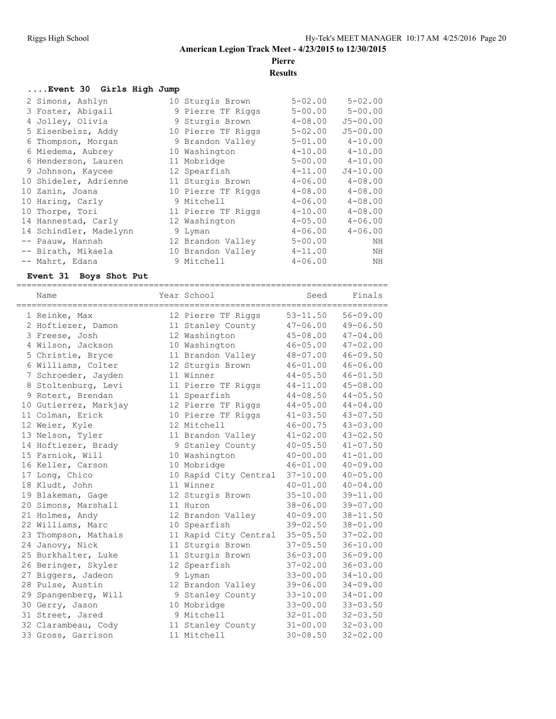**Pierre**

**Results**

#### **....Event 30 Girls High Jump**

| 2 Simons, Ashlyn       | 10 Sturgis Brown   | $5 - 02.00$ | $5 - 02.00$  |
|------------------------|--------------------|-------------|--------------|
| 3 Foster, Abigail      | 9 Pierre TF Riggs  | $5 - 00.00$ | $5 - 00.00$  |
| 4 Jolley, Olivia       | 9 Sturgis Brown    | $4 - 08.00$ | $J5 - 00.00$ |
| 5 Eisenbeisz, Addy     | 10 Pierre TF Riggs | $5 - 02.00$ | $J5 - 00.00$ |
| 6 Thompson, Morgan     | 9 Brandon Valley   | $5 - 01.00$ | $4 - 10.00$  |
| 6 Miedema, Aubrey      | 10 Washington      | $4 - 10.00$ | $4 - 10.00$  |
| 6 Henderson, Lauren    | 11 Mobridge        | $5 - 00.00$ | $4 - 10.00$  |
| 9 Johnson, Kaycee      | 12 Spearfish       | $4 - 11.00$ | $J4 - 10.00$ |
| 10 Shideler, Adrienne  | 11 Sturgis Brown   | $4 - 06.00$ | $4 - 08.00$  |
| 10 Zanin, Joana        | 10 Pierre TF Riggs | $4 - 08.00$ | $4 - 08.00$  |
| 10 Haring, Carly       | 9 Mitchell         | $4 - 06.00$ | $4 - 08.00$  |
| 10 Thorpe, Tori        | 11 Pierre TF Riggs | $4 - 10.00$ | $4 - 08.00$  |
| 14 Hannestad, Carly    | 12 Washington      | $4 - 05.00$ | $4 - 06.00$  |
| 14 Schindler, Madelynn | 9 Lyman            | $4 - 06.00$ | $4 - 06.00$  |
| -- Paauw, Hannah       | 12 Brandon Valley  | $5 - 00.00$ | NH           |
| -- Birath, Mikaela     | 10 Brandon Valley  | $4 - 11.00$ | ΝH           |
| -- Mahrt, Edana        | 9 Mitchell         | $4 - 06.00$ | ΝH           |
|                        |                    |             |              |

#### **Event 31 Boys Shot Put**

| Name                  | Year School           | Seed         | Finals       |
|-----------------------|-----------------------|--------------|--------------|
| 1 Reinke, Max         | 12 Pierre TF Riggs    | $53 - 11.50$ | $56 - 09.00$ |
| 2 Hoftiezer, Damon    | 11 Stanley County     | $47 - 06.00$ | $49 - 06.50$ |
| 3 Freese, Josh        | 12 Washington         | $45 - 08.00$ | $47 - 04.00$ |
| 4 Wilson, Jackson     | 10 Washington         | $46 - 05.00$ | $47 - 02.00$ |
| 5 Christie, Bryce     | 11 Brandon Valley     | $48 - 07.00$ | $46 - 09.50$ |
| 6 Williams, Colter    | 12 Sturgis Brown      | $46 - 01.00$ | $46 - 06.00$ |
| 7 Schroeder, Jayden   | 11 Winner             | $44 - 05.50$ | $46 - 01.50$ |
| 8 Stoltenburg, Levi   | 11 Pierre TF Riggs    | $44 - 11.00$ | $45 - 08.00$ |
| 9 Rotert, Brendan     | 11 Spearfish          | $44 - 08.50$ | $44 - 05.50$ |
| 10 Gutierrez, Markjay | 12 Pierre TF Riggs    | $44 - 05.00$ | $44 - 04.00$ |
| 11 Colman, Erick      | 10 Pierre TF Riggs    | $41 - 03.50$ | $43 - 07.50$ |
| 12 Weier, Kyle        | 12 Mitchell           | $46 - 00.75$ | $43 - 03.00$ |
| 13 Nelson, Tyler      | 11 Brandon Valley     | $41 - 02.00$ | $43 - 02.50$ |
| 14 Hoftiezer, Brady   | 9 Stanley County      | $40 - 05.50$ | $41 - 07.50$ |
| 15 Farniok, Will      | 10 Washington         | $40 - 00.00$ | $41 - 01.00$ |
| 16 Keller, Carson     | 10 Mobridge           | $46 - 01.00$ | $40 - 09.00$ |
| 17 Long, Chico        | 10 Rapid City Central | $37 - 10.00$ | $40 - 05.00$ |
| 18 Kludt, John        | 11 Winner             | $40 - 01.00$ | $40 - 04.00$ |
| 19 Blakeman, Gage     | 12 Sturgis Brown      | $35 - 10.00$ | $39 - 11.00$ |
| 20 Simons, Marshall   | 11 Huron              | $38 - 06.00$ | $39 - 07.00$ |
| 21 Holmes, Andy       | 12 Brandon Valley     | $40 - 09.00$ | $38 - 11.50$ |
| 22 Williams, Marc     | 10 Spearfish          | $39 - 02.50$ | $38 - 01.00$ |
| 23 Thompson, Mathais  | 11 Rapid City Central | $35 - 05.50$ | $37 - 02.00$ |
| 24 Janovy, Nick       | 11 Sturgis Brown      | $37 - 05.50$ | $36 - 10.00$ |
| 25 Burkhalter, Luke   | 11 Sturgis Brown      | $36 - 03.00$ | $36 - 09.00$ |
| 26 Beringer, Skyler   | 12 Spearfish          | $37 - 02.00$ | $36 - 03.00$ |
| 27 Biggers, Jadeon    | 9 Lyman               | $33 - 00.00$ | $34 - 10.00$ |
| 28 Pulse, Austin      | 12 Brandon Valley     | $39 - 06.00$ | $34 - 09.00$ |
| 29 Spangenberg, Will  | 9 Stanley County      | $33 - 10.00$ | $34 - 01.00$ |
| 30 Gerry, Jason       | 10 Mobridge           | $33 - 00.00$ | $33 - 03.50$ |
| 31 Street, Jared      | 9 Mitchell            | $32 - 01.00$ | $32 - 03.50$ |
| 32 Clarambeau, Cody   | 11 Stanley County     | $31 - 00.00$ | $32 - 03.00$ |
| 33 Gross, Garrison    | 11 Mitchell           | $30 - 08.50$ | $32 - 02.00$ |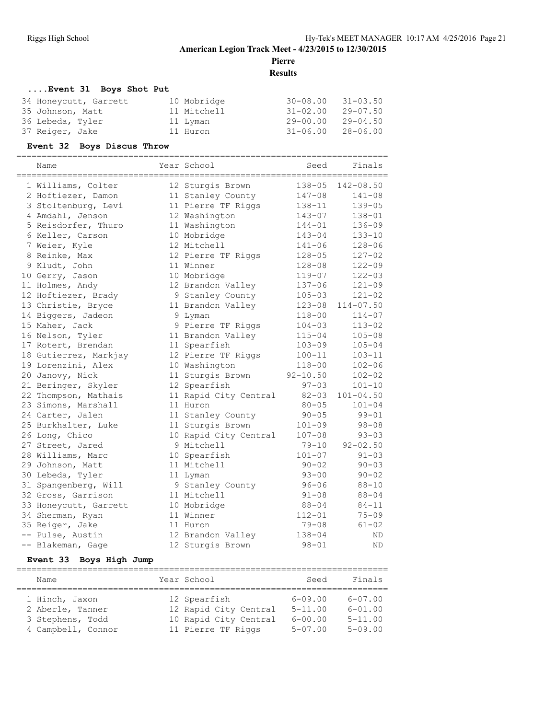**Pierre**

**Results**

### **....Event 31 Boys Shot Put**

| 10 Mobridge | $30 - 08.00$ | 31-03.50     |
|-------------|--------------|--------------|
| 11 Mitchell | $31 - 02.00$ | 29-07.50     |
| 11 Lyman    | $29 - 00.00$ | $29 - 04.50$ |
| 11 Huron    | $31 - 06.00$ | 28-06.00     |
|             |              |              |

#### **Event 32 Boys Discus Throw**

| Name                  | Year School           | Seed         | Finals        |
|-----------------------|-----------------------|--------------|---------------|
| 1 Williams, Colter    | 12 Sturgis Brown      | $138 - 05$   | 142-08.50     |
| 2 Hoftiezer, Damon    | 11 Stanley County     | $147 - 08$   | $141 - 08$    |
| 3 Stoltenburg, Levi   | 11 Pierre TF Riggs    | 138-11       | $139 - 05$    |
| 4 Amdahl, Jenson      | 12 Washington         | $143 - 07$   | $138 - 01$    |
| 5 Reisdorfer, Thuro   | 11 Washington         | $144 - 01$   | $136 - 09$    |
| 6 Keller, Carson      | 10 Mobridge           | $143 - 04$   | $133 - 10$    |
| 7 Weier, Kyle         | 12 Mitchell           | $141 - 06$   | $128 - 06$    |
| 8 Reinke, Max         | 12 Pierre TF Riggs    | $128 - 05$   | $127 - 02$    |
| 9 Kludt, John         | 11 Winner             | $128 - 08$   | $122 - 09$    |
| 10 Gerry, Jason       | 10 Mobridge           | 119-07       | $122 - 03$    |
| 11 Holmes, Andy       | 12 Brandon Valley     | $137 - 06$   | $121 - 09$    |
| 12 Hoftiezer, Brady   | 9 Stanley County      | $105 - 03$   | $121 - 02$    |
| 13 Christie, Bryce    | 11 Brandon Valley     | $123 - 08$   | $114 - 07.50$ |
| 14 Biggers, Jadeon    | 9 Lyman               | $118 - 00$   | $114 - 07$    |
| 15 Maher, Jack        | 9 Pierre TF Riggs     | $104 - 03$   | $113 - 02$    |
| 16 Nelson, Tyler      | 11 Brandon Valley     | $115 - 04$   | $105 - 08$    |
| 17 Rotert, Brendan    | 11 Spearfish          | $103 - 09$   | $105 - 04$    |
| 18 Gutierrez, Markjay | 12 Pierre TF Riggs    | $100 - 11$   | $103 - 11$    |
| 19 Lorenzini, Alex    | 10 Washington         | $118 - 00$   | $102 - 06$    |
| 20 Janovy, Nick       | 11 Sturgis Brown      | $92 - 10.50$ | $102 - 02$    |
| 21 Beringer, Skyler   | 12 Spearfish          | $97 - 03$    | $101 - 10$    |
| 22 Thompson, Mathais  | 11 Rapid City Central | $82 - 03$    | $101 - 04.50$ |
| 23 Simons, Marshall   | 11 Huron              | $80 - 05$    | $101 - 04$    |
| 24 Carter, Jalen      | 11 Stanley County     | $90 - 05$    | $99 - 01$     |
| 25 Burkhalter, Luke   | 11 Sturgis Brown      | $101 - 09$   | $98 - 08$     |
| 26 Long, Chico        | 10 Rapid City Central | $107 - 08$   | $93 - 03$     |
| 27 Street, Jared      | 9 Mitchell            | $79 - 10$    | $92 - 02.50$  |
| 28 Williams, Marc     | 10 Spearfish          | $101 - 07$   | $91 - 03$     |
| 29 Johnson, Matt      | 11 Mitchell           | $90 - 02$    | $90 - 03$     |
| 30 Lebeda, Tyler      | 11 Lyman              | $93 - 00$    | $90 - 02$     |
| 31 Spangenberg, Will  | 9 Stanley County      | $96 - 06$    | $88 - 10$     |
| 32 Gross, Garrison    | 11 Mitchell           | $91 - 08$    | $88 - 04$     |
| 33 Honeycutt, Garrett | 10 Mobridge           | $88 - 04$    | $84 - 11$     |
| 34 Sherman, Ryan      | 11 Winner             | $112 - 01$   | $75 - 09$     |
| 35 Reiger, Jake       | 11 Huron              | 79-08        | $61 - 02$     |
| -- Pulse, Austin      | 12 Brandon Valley     | $138 - 04$   | <b>ND</b>     |
| -- Blakeman, Gage     | 12 Sturgis Brown      | $98 - 01$    | <b>ND</b>     |

#### **Event 33 Boys High Jump**

| Name               | Year School |                       | Seed        | Finals      |  |  |  |
|--------------------|-------------|-----------------------|-------------|-------------|--|--|--|
| 1 Hinch, Jaxon     |             | 12 Spearfish          | $6 - 09.00$ | $6 - 07.00$ |  |  |  |
| 2 Aberle, Tanner   |             | 12 Rapid City Central | $5 - 11.00$ | $6 - 01.00$ |  |  |  |
| 3 Stephens, Todd   |             | 10 Rapid City Central | $6 - 00.00$ | $5 - 11.00$ |  |  |  |
| 4 Campbell, Connor |             | 11 Pierre TF Riggs    | $5 - 07.00$ | $5 - 09.00$ |  |  |  |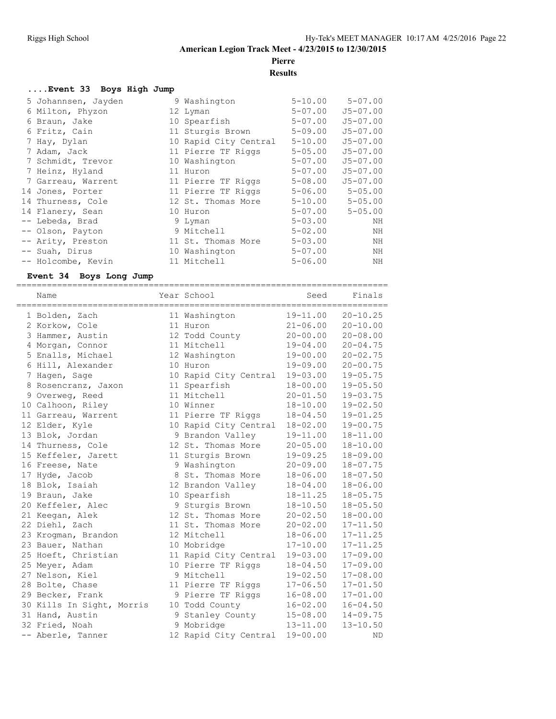# **Pierre**

**Results**

#### **....Event 33 Boys High Jump**

| 5 Johannsen, Jayden | 9 Washington          | $5 - 10.00$ | $5 - 07.00$  |
|---------------------|-----------------------|-------------|--------------|
| 6 Milton, Phyzon    | 12 Lyman              | $5 - 07.00$ | $J5 - 07.00$ |
| 6 Braun, Jake       | 10 Spearfish          | $5 - 07.00$ | $J5 - 07.00$ |
| 6 Fritz, Cain       | 11 Sturgis Brown      | $5 - 09.00$ | $J5 - 07.00$ |
| 7 Hay, Dylan        | 10 Rapid City Central | $5 - 10.00$ | $J5 - 07.00$ |
| 7 Adam, Jack        | 11 Pierre TF Riggs    | $5 - 05.00$ | $J5 - 07.00$ |
| 7 Schmidt, Trevor   | 10 Washington         | $5 - 07.00$ | $J5 - 07.00$ |
| 7 Heinz, Hyland     | 11 Huron              | 5-07.00     | $J5 - 07.00$ |
| 7 Garreau, Warrent  | 11 Pierre TF Riggs    | $5 - 08.00$ | $J5 - 07.00$ |
| 14 Jones, Porter    | 11 Pierre TF Riggs    | $5 - 06.00$ | $5 - 05.00$  |
| 14 Thurness, Cole   | 12 St. Thomas More    | $5 - 10.00$ | $5 - 05.00$  |
| 14 Flanery, Sean    | 10 Huron              | 5-07.00     | $5 - 05.00$  |
| -- Lebeda, Brad     | 9 Lyman               | $5 - 03.00$ | ΝH           |
| -- Olson, Payton    | 9 Mitchell            | $5 - 02.00$ | ΝH           |
| -- Arity, Preston   | 11 St. Thomas More    | $5 - 03.00$ | ΝH           |
| -- Suah, Dirus      | 10 Washington         | $5 - 07.00$ | ΝH           |
| -- Holcombe, Kevin  | 11 Mitchell           | $5 - 06.00$ | ΝH           |

#### **Event 34 Boys Long Jump**

| Name                      |  | Year School           | ------------------------------<br>Seed | Finals       |
|---------------------------|--|-----------------------|----------------------------------------|--------------|
| 1 Bolden, Zach            |  | 11 Washington         | $19 - 11.00$                           | $20 - 10.25$ |
| 2 Korkow, Cole            |  | 11 Huron              | $21 - 06.00$                           | $20 - 10.00$ |
| 3 Hammer, Austin          |  | 12 Todd County        | $20 - 00.00$                           | $20 - 08.00$ |
| 4 Morgan, Connor          |  | 11 Mitchell           | $19 - 04.00$                           | $20 - 04.75$ |
| 5 Enalls, Michael         |  | 12 Washington         | $19 - 00.00$                           | $20 - 02.75$ |
| 6 Hill, Alexander         |  | 10 Huron              | $19 - 09.00$                           | $20 - 00.75$ |
| 7 Hagen, Sage             |  | 10 Rapid City Central | $19 - 03.00$                           | $19 - 05.75$ |
| 8 Rosencranz, Jaxon       |  | 11 Spearfish          | $18 - 00.00$                           | $19 - 05.50$ |
| 9 Overweg, Reed           |  | 11 Mitchell           | $20 - 01.50$                           | $19 - 03.75$ |
| 10 Calhoon, Riley         |  | 10 Winner             | $18 - 10.00$                           | $19 - 02.50$ |
| 11 Garreau, Warrent       |  | 11 Pierre TF Riggs    | $18 - 04.50$                           | $19 - 01.25$ |
| 12 Elder, Kyle            |  | 10 Rapid City Central | $18 - 02.00$                           | $19 - 00.75$ |
| 13 Blok, Jordan           |  | 9 Brandon Valley      | $19 - 11.00$                           | $18 - 11.00$ |
| 14 Thurness, Cole         |  | 12 St. Thomas More    | $20 - 05.00$                           | $18 - 10.00$ |
| 15 Keffeler, Jarett       |  | 11 Sturgis Brown      | $19 - 09.25$                           | $18 - 09.00$ |
| 16 Freese, Nate           |  | 9 Washington          | $20 - 09.00$                           | $18 - 07.75$ |
| 17 Hyde, Jacob            |  | 8 St. Thomas More     | $18 - 06.00$                           | $18 - 07.50$ |
| 18 Blok, Isaiah           |  | 12 Brandon Valley     | $18 - 04.00$                           | $18 - 06.00$ |
| 19 Braun, Jake            |  | 10 Spearfish          | $18 - 11.25$                           | $18 - 05.75$ |
| 20 Keffeler, Alec         |  | 9 Sturgis Brown       | $18 - 10.50$                           | $18 - 05.50$ |
| 21 Keegan, Alek           |  | 12 St. Thomas More    | $20 - 02.50$                           | $18 - 00.00$ |
| 22 Diehl, Zach            |  | 11 St. Thomas More    | $20 - 02.00$                           | $17 - 11.50$ |
| 23 Krogman, Brandon       |  | 12 Mitchell           | $18 - 06.00$                           | $17 - 11.25$ |
| 23 Bauer, Nathan          |  | 10 Mobridge           | $17 - 10.00$                           | $17 - 11.25$ |
| 25 Hoeft, Christian       |  | 11 Rapid City Central | $19 - 03.00$                           | $17 - 09.00$ |
| 25 Meyer, Adam            |  | 10 Pierre TF Riggs    | $18 - 04.50$                           | $17 - 09.00$ |
| 27 Nelson, Kiel           |  | 9 Mitchell            | $19 - 02.50$                           | $17 - 08.00$ |
| 28 Bolte, Chase           |  | 11 Pierre TF Riggs    | $17 - 06.50$                           | $17 - 01.50$ |
| 29 Becker, Frank          |  | 9 Pierre TF Riggs     | $16 - 08.00$                           | $17 - 01.00$ |
| 30 Kills In Sight, Morris |  | 10 Todd County        | $16 - 02.00$                           | $16 - 04.50$ |
| 31 Hand, Austin           |  | 9 Stanley County      | $15 - 08.00$                           | $14 - 09.75$ |
| 32 Fried, Noah            |  | 9 Mobridge            | $13 - 11.00$                           | $13 - 10.50$ |
| -- Aberle, Tanner         |  | 12 Rapid City Central | $19 - 00.00$                           | ND.          |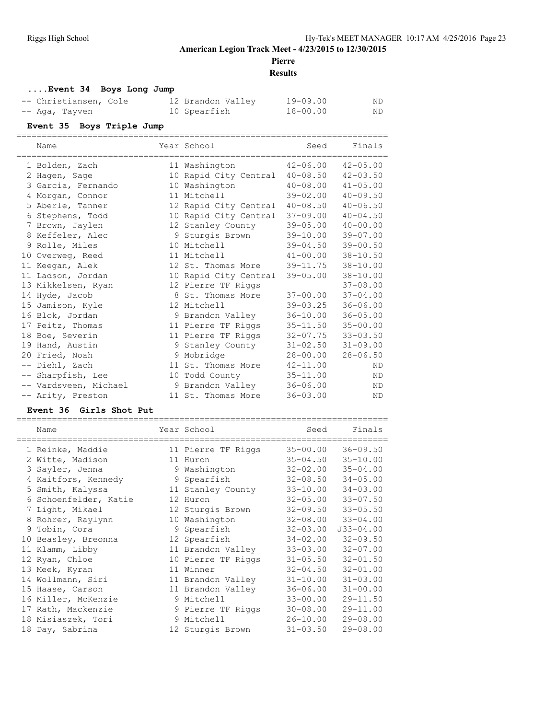### **Pierre**

#### **Results**

#### **....Event 34 Boys Long Jump** -- Christiansen, Cole 12 Brandon Valley 19-09.00 ND -- Aga, Tayven 10 Spearfish 18-00.00 ND

| -- Ayd, Idyven |                           | IN PDEALITRU                   | $10 - 00.00$ | N D          |
|----------------|---------------------------|--------------------------------|--------------|--------------|
|                | Event 35 Boys Triple Jump |                                |              |              |
|                | Name                      | Year School                    | Seed         | Finals       |
|                | 1 Bolden, Zach            | 11 Washington                  | 42-06.00     | $42 - 05.00$ |
|                | 2 Hagen, Sage             | 10 Rapid City Central 40-08.50 |              | $42 - 03.50$ |
|                | 3 Garcia, Fernando        | 10 Washington                  | $40 - 08.00$ | $41 - 05.00$ |
|                | 4 Morgan, Connor          | 11 Mitchell                    | 39-02.00     | $40 - 09.50$ |
|                | 5 Aberle, Tanner          | 12 Rapid City Central          | $40 - 08.50$ | $40 - 06.50$ |
|                | 6 Stephens, Todd          | 10 Rapid City Central          | $37 - 09.00$ | $40 - 04.50$ |
|                | 7 Brown, Jaylen           | 12 Stanley County              | $39 - 05.00$ | $40 - 00.00$ |
|                | 8 Keffeler, Alec          | 9 Sturgis Brown                | $39 - 10.00$ | $39 - 07.00$ |
|                | 9 Rolle, Miles            | 10 Mitchell                    | $39 - 04.50$ | $39 - 00.50$ |
|                | 10 Overweg, Reed          | 11 Mitchell and Mitchell       | $41 - 00.00$ | $38 - 10.50$ |
|                | 11 Keegan, Alek           | 12 St. Thomas More             | 39-11.75     | $38 - 10.00$ |
|                | 11 Ladson, Jordan         | 10 Rapid City Central          | $39 - 05.00$ | $38 - 10.00$ |
|                | 13 Mikkelsen, Ryan        | 12 Pierre TF Riggs             |              | $37 - 08.00$ |
|                | 14 Hyde, Jacob            | 8 St. Thomas More              | $37 - 00.00$ | $37 - 04.00$ |
|                | 15 Jamison, Kyle          | 12 Mitchell                    | $39 - 03.25$ | $36 - 06.00$ |
|                | 16 Blok, Jordan           | 9 Brandon Valley               | $36 - 10.00$ | $36 - 05.00$ |
|                | 17 Peitz, Thomas          | 11 Pierre TF Riggs             | $35 - 11.50$ | $35 - 00.00$ |
|                | 18 Boe, Severin           | 11 Pierre TF Riggs             | $32 - 07.75$ | $33 - 03.50$ |
|                | 19 Hand, Austin           | 9 Stanley County               | $31 - 02.50$ | $31 - 09.00$ |
|                | 20 Fried, Noah            | 9 Mobridge                     | $28 - 00.00$ | $28 - 06.50$ |
|                | -- Diehl, Zach            | 11 St. Thomas More             | $42 - 11.00$ | <b>ND</b>    |
|                | -- Sharpfish, Lee         | 10 Todd County                 | $35 - 11.00$ | ND           |
|                | -- Vardsveen, Michael     | 9 Brandon Valley               | $36 - 06.00$ | ND           |
|                | -- Arity, Preston         | 11 St. Thomas More             | $36 - 03.00$ | ND           |
|                | Event 36 Girls Shot Put   |                                |              |              |

#### ========================================================================= Name The Year School Contract Seed Finals ========================================================================= 1 Reinke, Maddie 11 Pierre TF Riggs 35-00.00 36-09.50 2 Witte, Madison 11 Huron 35-04.50 35-10.00 3 Sayler, Jenna 9 Washington 32-02.00 35-04.00 4 Kaitfors, Kennedy 9 Spearfish 32-08.50 34-05.00 5 Smith, Kalyssa 11 Stanley County 33-10.00 34-03.00 6 Schoenfelder, Katie 12 Huron 32-05.00 33-07.50 7 Light, Mikael 12 Sturgis Brown 32-09.50 33-05.50 8 Rohrer, Raylynn 10 Washington 32-08.00 33-04.00 9 Tobin, Cora 9 Spearfish 32-03.00 J33-04.00 10 Beasley, Breonna 12 Spearfish 34-02.00 32-09.50 11 Klamm, Libby 11 Brandon Valley 33-03.00 32-07.00 12 Ryan, Chloe 10 Pierre TF Riggs 31-05.50 32-01.50 13 Meek, Kyran 11 Winner 32-04.50 32-01.00 14 Wollmann, Siri 11 Brandon Valley 31-10.00 31-03.00 15 Haase, Carson 11 Brandon Valley 36-06.00 31-00.00 16 Miller, McKenzie 9 Mitchell 33-00.00 29-11.50 17 Rath, Mackenzie 9 Pierre TF Riggs 30-08.00 29-11.00 18 Misiaszek, Tori 9 Mitchell 26-10.00 29-08.00 18 Day, Sabrina 12 Sturgis Brown 31-03.50 29-08.00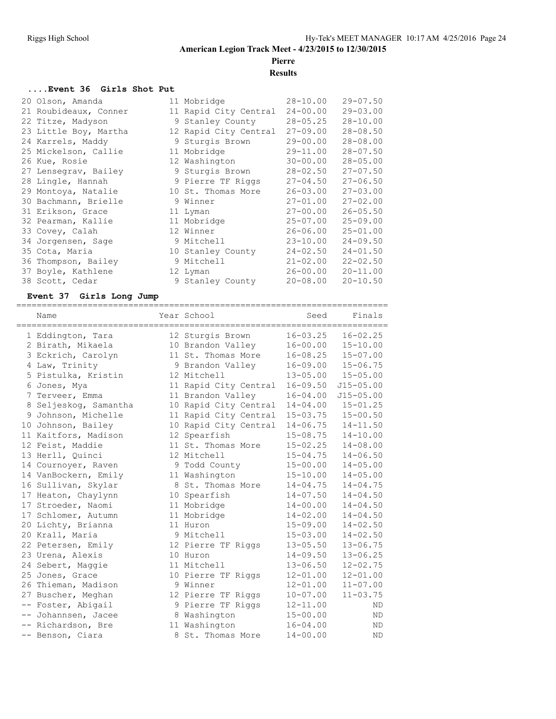# **Pierre**

# **Results**

#### **....Event 36 Girls Shot Put**

| 20 Olson, Amanda      | 11 Mobridge           | $28 - 10.00$ | $29 - 07.50$ |
|-----------------------|-----------------------|--------------|--------------|
| 21 Roubideaux, Conner | 11 Rapid City Central | $24 - 00.00$ | $29 - 03.00$ |
| 22 Titze, Madyson     | 9 Stanley County      | $28 - 05.25$ | $28 - 10.00$ |
| 23 Little Boy, Martha | 12 Rapid City Central | $27 - 09.00$ | $28 - 08.50$ |
| 24 Karrels, Maddy     | 9 Sturgis Brown       | $29 - 00.00$ | $28 - 08.00$ |
| 25 Mickelson, Callie  | 11 Mobridge           | $29 - 11.00$ | $28 - 07.50$ |
| 26 Kue, Rosie         | 12 Washington         | $30 - 00.00$ | $28 - 05.00$ |
| 27 Lensegrav, Bailey  | 9 Sturgis Brown       | $28 - 02.50$ | $27 - 07.50$ |
| 28 Lingle, Hannah     | 9 Pierre TF Riggs     | $27 - 04.50$ | $27 - 06.50$ |
| 29 Montoya, Natalie   | 10 St. Thomas More    | $26 - 03.00$ | $27 - 03.00$ |
| 30 Bachmann, Brielle  | 9 Winner              | $27 - 01.00$ | $27 - 02.00$ |
| 31 Erikson, Grace     | 11 Lyman              | $27 - 00.00$ | $26 - 05.50$ |
| 32 Pearman, Kallie    | 11 Mobridge           | $25 - 07.00$ | $25 - 09.00$ |
| 33 Covey, Calah       | 12 Winner             | $26 - 06.00$ | $25 - 01.00$ |
| 34 Jorgensen, Sage    | 9 Mitchell            | $23 - 10.00$ | $24 - 09.50$ |
| 35 Cota, Maria        | 10 Stanley County     | $24 - 02.50$ | $24 - 01.50$ |
| 36 Thompson, Bailey   | 9 Mitchell            | $21 - 02.00$ | $22 - 02.50$ |
| 37 Boyle, Kathlene    | 12 Lyman              | $26 - 00.00$ | $20 - 11.00$ |
| 38 Scott, Cedar       | 9 Stanley County      | $20 - 08.00$ | $20 - 10.50$ |
|                       |                       |              |              |

### **Event 37 Girls Long Jump**

| Name                  | Year School           | Seed         | Finals        |
|-----------------------|-----------------------|--------------|---------------|
| 1 Eddington, Tara     | 12 Sturgis Brown      | $16 - 03.25$ | $16 - 02.25$  |
| 2 Birath, Mikaela     | 10 Brandon Valley     | $16 - 00.00$ | $15 - 10.00$  |
| 3 Eckrich, Carolyn    | 11 St. Thomas More    | $16 - 08.25$ | $15 - 07.00$  |
| 4 Law, Trinity        | 9 Brandon Valley      | $16 - 09.00$ | $15 - 06.75$  |
| 5 Pistulka, Kristin   | 12 Mitchell           | $13 - 05.00$ | $15 - 05.00$  |
| 6 Jones, Mya          | 11 Rapid City Central | $16 - 09.50$ | $J15 - 05.00$ |
| 7 Terveer, Emma       | 11 Brandon Valley     | $16 - 04.00$ | $J15 - 05.00$ |
| 8 Seljeskog, Samantha | 10 Rapid City Central | $14 - 04.00$ | $15 - 01.25$  |
| 9 Johnson, Michelle   | 11 Rapid City Central | $15 - 03.75$ | $15 - 00.50$  |
| 10 Johnson, Bailey    | 10 Rapid City Central | $14 - 06.75$ | $14 - 11.50$  |
| 11 Kaitfors, Madison  | 12 Spearfish          | $15 - 08.75$ | $14 - 10.00$  |
| 12 Feist, Maddie      | 11 St. Thomas More    | $15 - 02.25$ | $14 - 08.00$  |
| 13 Herll, Ouinci      | 12 Mitchell           | $15 - 04.75$ | $14 - 06.50$  |
| 14 Cournoyer, Raven   | 9 Todd County         | $15 - 00.00$ | $14 - 05.00$  |
| 14 VanBockern, Emily  | 11 Washington         | $15 - 10.00$ | $14 - 05.00$  |
| 16 Sullivan, Skylar   | 8 St. Thomas More     | $14 - 04.75$ | $14 - 04.75$  |
| 17 Heaton, Chaylynn   | 10 Spearfish          | $14 - 07.50$ | $14 - 04.50$  |
| 17 Stroeder, Naomi    | 11 Mobridge           | $14 - 00.00$ | $14 - 04.50$  |
| 17 Schlomer, Autumn   | 11 Mobridge           | $14 - 02.00$ | $14 - 04.50$  |
| 20 Lichty, Brianna    | 11 Huron              | $15 - 09.00$ | $14 - 02.50$  |
| 20 Krall, Maria       | 9 Mitchell            | $15 - 03.00$ | $14 - 02.50$  |
| 22 Petersen, Emily    | 12 Pierre TF Riggs    | $13 - 05.50$ | $13 - 06.75$  |
| 23 Urena, Alexis      | 10 Huron              | $14 - 09.50$ | $13 - 06.25$  |
| 24 Sebert, Maggie     | 11 Mitchell           | $13 - 06.50$ | $12 - 02.75$  |
| 25 Jones, Grace       | 10 Pierre TF Riggs    | $12 - 01.00$ | $12 - 01.00$  |
| 26 Thieman, Madison   | 9 Winner              | $12 - 01.00$ | $11 - 07.00$  |
| 27 Buscher, Meghan    | 12 Pierre TF Riggs    | $10 - 07.00$ | $11 - 03.75$  |
| -- Foster, Abigail    | 9 Pierre TF Riggs     | $12 - 11.00$ | <b>ND</b>     |
| -- Johannsen, Jacee   | 8 Washington          | $15 - 00.00$ | <b>ND</b>     |
| -- Richardson, Bre    | 11 Washington         | $16 - 04.00$ | ND            |
| -- Benson, Ciara      | 8 St. Thomas More     | $14 - 00.00$ | <b>ND</b>     |